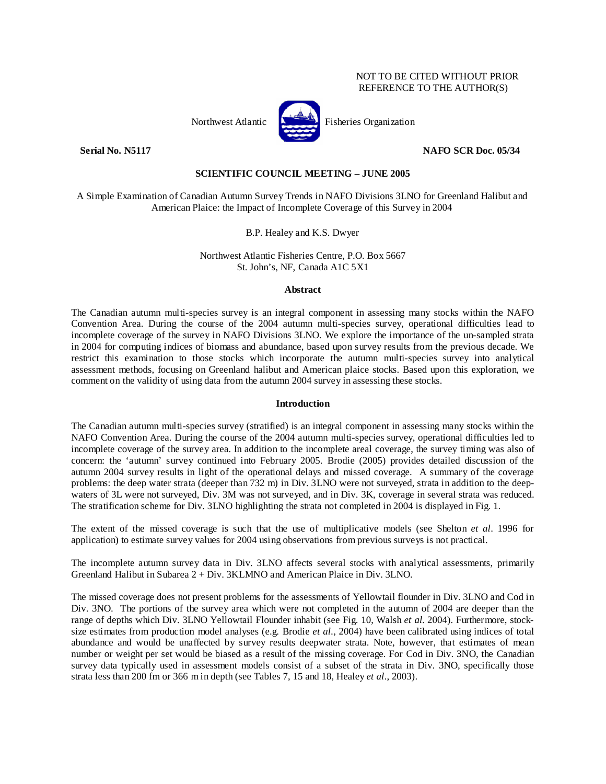### NOT TO BE CITED WITHOUT PRIOR REFERENCE TO THE AUTHOR(S)

Northwest Atlantic  $\begin{bmatrix} 1 & 1 \\ 0 & 1 \end{bmatrix}$  Fisheries Organization

# **Serial No. N5117 NAFO SCR Doc. 05/34**

# **SCIENTIFIC COUNCIL MEETING – JUNE 2005**

A Simple Examination of Canadian Autumn Survey Trends in NAFO Divisions 3LNO for Greenland Halibut and American Plaice: the Impact of Incomplete Coverage of this Survey in 2004

## B.P. Healey and K.S. Dwyer

Northwest Atlantic Fisheries Centre, P.O. Box 5667 St. John's, NF, Canada A1C 5X1

#### **Abstract**

The Canadian autumn multi-species survey is an integral component in assessing many stocks within the NAFO Convention Area. During the course of the 2004 autumn multi-species survey, operational difficulties lead to incomplete coverage of the survey in NAFO Divisions 3LNO. We explore the importance of the un-sampled strata in 2004 for computing indices of biomass and abundance, based upon survey results from the previous decade. We restrict this examination to those stocks which incorporate the autumn multi-species survey into analytical assessment methods, focusing on Greenland halibut and American plaice stocks. Based upon this exploration, we comment on the validity of using data from the autumn 2004 survey in assessing these stocks.

### **Introduction**

The Canadian autumn multi-species survey (stratified) is an integral component in assessing many stocks within the NAFO Convention Area. During the course of the 2004 autumn multi-species survey, operational difficulties led to incomplete coverage of the survey area. In addition to the incomplete areal coverage, the survey timing was also of concern: the 'autumn' survey continued into February 2005. Brodie (2005) provides detailed discussion of the autumn 2004 survey results in light of the operational delays and missed coverage. A summary of the coverage problems: the deep water strata (deeper than 732 m) in Div. 3LNO were not surveyed, strata in addition to the deepwaters of 3L were not surveyed, Div. 3M was not surveyed, and in Div. 3K, coverage in several strata was reduced. The stratification scheme for Div. 3LNO highlighting the strata not completed in 2004 is displayed in Fig. 1.

The extent of the missed coverage is such that the use of multiplicative models (see Shelton *et al*. 1996 for application) to estimate survey values for 2004 using observations from previous surveys is not practical.

The incomplete autumn survey data in Div. 3LNO affects several stocks with analytical assessments, primarily Greenland Halibut in Subarea 2 + Div. 3KLMNO and American Plaice in Div. 3LNO.

The missed coverage does not present problems for the assessments of Yellowtail flounder in Div. 3LNO and Cod in Div. 3NO. The portions of the survey area which were not completed in the autumn of 2004 are deeper than the range of depths which Div. 3LNO Yellowtail Flounder inhabit (see Fig. 10, Walsh *et al.* 2004). Furthermore, stocksize estimates from production model analyses (e.g. Brodie *et al.*, 2004) have been calibrated using indices of total abundance and would be unaffected by survey results deepwater strata. Note, however, that estimates of mean number or weight per set would be biased as a result of the missing coverage. For Cod in Div. 3NO, the Canadian survey data typically used in assessment models consist of a subset of the strata in Div. 3NO, specifically those strata less than 200 fm or 366 m in depth (see Tables 7, 15 and 18, Healey *et al*., 2003).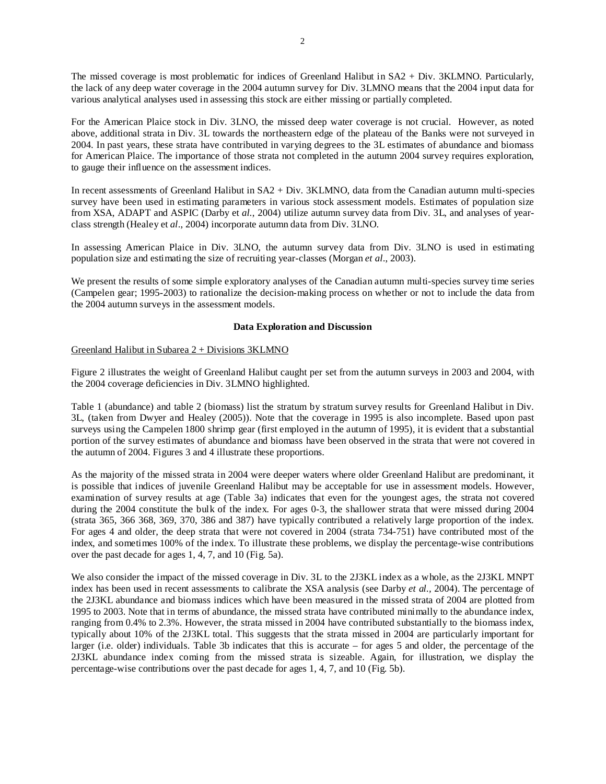The missed coverage is most problematic for indices of Greenland Halibut in SA2 + Div. 3KLMNO. Particularly, the lack of any deep water coverage in the 2004 autumn survey for Div. 3LMNO means that the 2004 input data for various analytical analyses used in assessing this stock are either missing or partially completed.

For the American Plaice stock in Div. 3LNO, the missed deep water coverage is not crucial. However, as noted above, additional strata in Div. 3L towards the northeastern edge of the plateau of the Banks were not surveyed in 2004. In past years, these strata have contributed in varying degrees to the 3L estimates of abundance and biomass for American Plaice. The importance of those strata not completed in the autumn 2004 survey requires exploration, to gauge their influence on the assessment indices.

In recent assessments of Greenland Halibut in SA2 + Div. 3KLMNO, data from the Canadian autumn multi-species survey have been used in estimating parameters in various stock assessment models. Estimates of population size from XSA, ADAPT and ASPIC (Darby et *al.*, 2004) utilize autumn survey data from Div. 3L, and analyses of yearclass strength (Healey et *al*., 2004) incorporate autumn data from Div. 3LNO.

In assessing American Plaice in Div. 3LNO, the autumn survey data from Div. 3LNO is used in estimating population size and estimating the size of recruiting year-classes (Morgan *et al*., 2003).

We present the results of some simple exploratory analyses of the Canadian autumn multi-species survey time series (Campelen gear; 1995-2003) to rationalize the decision-making process on whether or not to include the data from the 2004 autumn surveys in the assessment models.

## **Data Exploration and Discussion**

## Greenland Halibut in Subarea 2 + Divisions 3KLMNO

Figure 2 illustrates the weight of Greenland Halibut caught per set from the autumn surveys in 2003 and 2004, with the 2004 coverage deficiencies in Div. 3LMNO highlighted.

Table 1 (abundance) and table 2 (biomass) list the stratum by stratum survey results for Greenland Halibut in Div. 3L, (taken from Dwyer and Healey (2005)). Note that the coverage in 1995 is also incomplete. Based upon past surveys using the Campelen 1800 shrimp gear (first employed in the autumn of 1995), it is evident that a substantial portion of the survey estimates of abundance and biomass have been observed in the strata that were not covered in the autumn of 2004. Figures 3 and 4 illustrate these proportions.

As the majority of the missed strata in 2004 were deeper waters where older Greenland Halibut are predominant, it is possible that indices of juvenile Greenland Halibut may be acceptable for use in assessment models. However, examination of survey results at age (Table 3a) indicates that even for the youngest ages, the strata not covered during the 2004 constitute the bulk of the index. For ages 0-3, the shallower strata that were missed during 2004 (strata 365, 366 368, 369, 370, 386 and 387) have typically contributed a relatively large proportion of the index. For ages 4 and older, the deep strata that were not covered in 2004 (strata 734-751) have contributed most of the index, and sometimes 100% of the index. To illustrate these problems, we display the percentage-wise contributions over the past decade for ages 1, 4, 7, and 10 (Fig. 5a).

We also consider the impact of the missed coverage in Div. 3L to the 2J3KL index as a whole, as the 2J3KL MNPT index has been used in recent assessments to calibrate the XSA analysis (see Darby *et al.,* 2004). The percentage of the 2J3KL abundance and biomass indices which have been measured in the missed strata of 2004 are plotted from 1995 to 2003. Note that in terms of abundance, the missed strata have contributed minimally to the abundance index, ranging from 0.4% to 2.3%. However, the strata missed in 2004 have contributed substantially to the biomass index, typically about 10% of the 2J3KL total. This suggests that the strata missed in 2004 are particularly important for larger (i.e. older) individuals. Table 3b indicates that this is accurate – for ages 5 and older, the percentage of the 2J3KL abundance index coming from the missed strata is sizeable. Again, for illustration, we display the percentage-wise contributions over the past decade for ages 1, 4, 7, and 10 (Fig. 5b).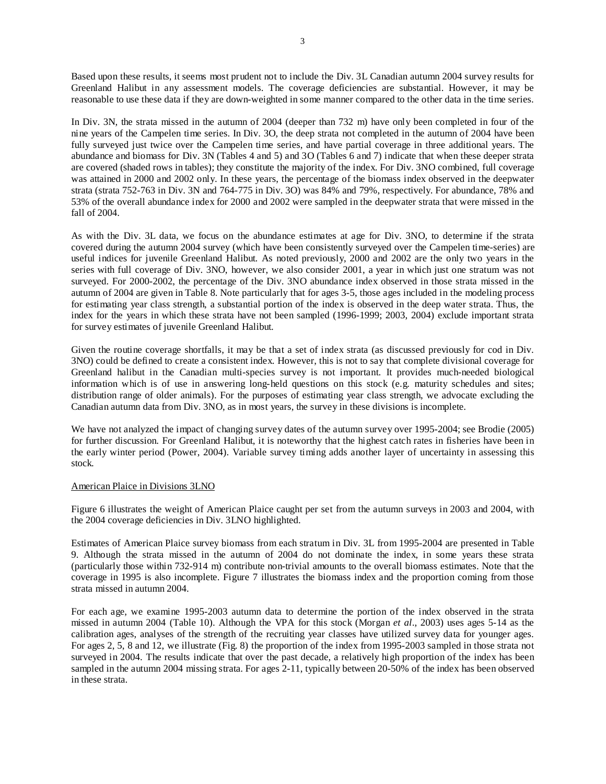Based upon these results, it seems most prudent not to include the Div. 3L Canadian autumn 2004 survey results for Greenland Halibut in any assessment models. The coverage deficiencies are substantial. However, it may be reasonable to use these data if they are down-weighted in some manner compared to the other data in the time series.

In Div. 3N, the strata missed in the autumn of 2004 (deeper than 732 m) have only been completed in four of the nine years of the Campelen time series. In Div. 3O, the deep strata not completed in the autumn of 2004 have been fully surveyed just twice over the Campelen time series, and have partial coverage in three additional years. The abundance and biomass for Div. 3N (Tables 4 and 5) and 3O (Tables 6 and 7) indicate that when these deeper strata are covered (shaded rows in tables); they constitute the majority of the index. For Div. 3NO combined, full coverage was attained in 2000 and 2002 only. In these years, the percentage of the biomass index observed in the deepwater strata (strata 752-763 in Div. 3N and 764-775 in Div. 3O) was 84% and 79%, respectively. For abundance, 78% and 53% of the overall abundance index for 2000 and 2002 were sampled in the deepwater strata that were missed in the fall of 2004.

As with the Div. 3L data, we focus on the abundance estimates at age for Div. 3NO, to determine if the strata covered during the autumn 2004 survey (which have been consistently surveyed over the Campelen time-series) are useful indices for juvenile Greenland Halibut. As noted previously, 2000 and 2002 are the only two years in the series with full coverage of Div. 3NO, however, we also consider 2001, a year in which just one stratum was not surveyed. For 2000-2002, the percentage of the Div. 3NO abundance index observed in those strata missed in the autumn of 2004 are given in Table 8. Note particularly that for ages 3-5, those ages included in the modeling process for estimating year class strength, a substantial portion of the index is observed in the deep water strata. Thus, the index for the years in which these strata have not been sampled (1996-1999; 2003, 2004) exclude important strata for survey estimates of juvenile Greenland Halibut.

Given the routine coverage shortfalls, it may be that a set of index strata (as discussed previously for cod in Div. 3NO) could be defined to create a consistent index. However, this is not to say that complete divisional coverage for Greenland halibut in the Canadian multi-species survey is not important. It provides much-needed biological information which is of use in answering long-held questions on this stock (e.g. maturity schedules and sites; distribution range of older animals). For the purposes of estimating year class strength, we advocate excluding the Canadian autumn data from Div. 3NO, as in most years, the survey in these divisions is incomplete.

We have not analyzed the impact of changing survey dates of the autumn survey over 1995-2004; see Brodie (2005) for further discussion. For Greenland Halibut, it is noteworthy that the highest catch rates in fisheries have been in the early winter period (Power, 2004). Variable survey timing adds another layer of uncertainty in assessing this stock.

#### American Plaice in Divisions 3LNO

Figure 6 illustrates the weight of American Plaice caught per set from the autumn surveys in 2003 and 2004, with the 2004 coverage deficiencies in Div. 3LNO highlighted.

Estimates of American Plaice survey biomass from each stratum in Div. 3L from 1995-2004 are presented in Table 9. Although the strata missed in the autumn of 2004 do not dominate the index, in some years these strata (particularly those within 732-914 m) contribute non-trivial amounts to the overall biomass estimates. Note that the coverage in 1995 is also incomplete. Figure 7 illustrates the biomass index and the proportion coming from those strata missed in autumn 2004.

For each age, we examine 1995-2003 autumn data to determine the portion of the index observed in the strata missed in autumn 2004 (Table 10). Although the VPA for this stock (Morgan *et al*., 2003) uses ages 5-14 as the calibration ages, analyses of the strength of the recruiting year classes have utilized survey data for younger ages. For ages 2, 5, 8 and 12, we illustrate (Fig. 8) the proportion of the index from 1995-2003 sampled in those strata not surveyed in 2004. The results indicate that over the past decade, a relatively high proportion of the index has been sampled in the autumn 2004 missing strata. For ages 2-11, typically between 20-50% of the index has been observed in these strata.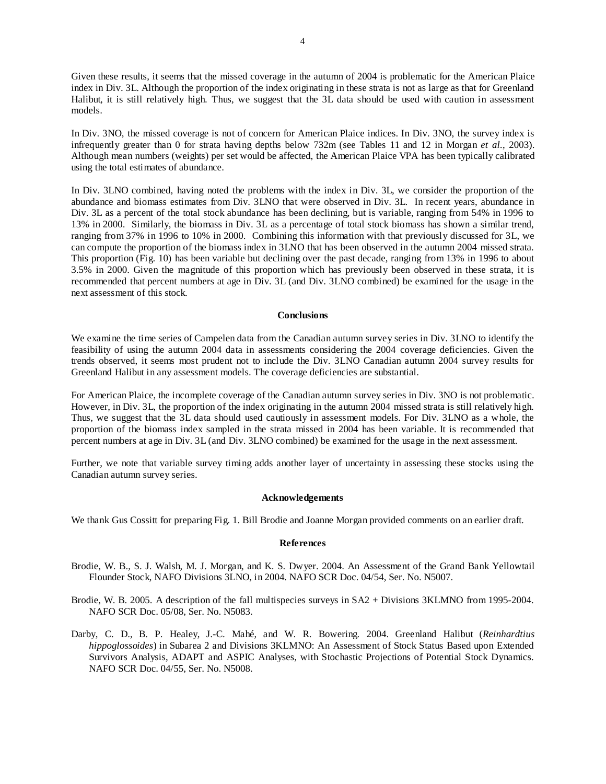Given these results, it seems that the missed coverage in the autumn of 2004 is problematic for the American Plaice index in Div. 3L. Although the proportion of the index originating in these strata is not as large as that for Greenland Halibut, it is still relatively high. Thus, we suggest that the 3L data should be used with caution in assessment models.

In Div. 3NO, the missed coverage is not of concern for American Plaice indices. In Div. 3NO, the survey index is infrequently greater than 0 for strata having depths below 732m (see Tables 11 and 12 in Morgan *et al.*, 2003). Although mean numbers (weights) per set would be affected, the American Plaice VPA has been typically calibrated using the total estimates of abundance.

In Div. 3LNO combined, having noted the problems with the index in Div. 3L, we consider the proportion of the abundance and biomass estimates from Div. 3LNO that were observed in Div. 3L. In recent years, abundance in Div. 3L as a percent of the total stock abundance has been declining, but is variable, ranging from 54% in 1996 to 13% in 2000. Similarly, the biomass in Div. 3L as a percentage of total stock biomass has shown a similar trend, ranging from 37% in 1996 to 10% in 2000. Combining this information with that previously discussed for 3L, we can compute the proportion of the biomass index in 3LNO that has been observed in the autumn 2004 missed strata. This proportion (Fig. 10) has been variable but declining over the past decade, ranging from 13% in 1996 to about 3.5% in 2000. Given the magnitude of this proportion which has previously been observed in these strata, it is recommended that percent numbers at age in Div. 3L (and Div. 3LNO combined) be examined for the usage in the next assessment of this stock.

#### **Conclusions**

We examine the time series of Campelen data from the Canadian autumn survey series in Div. 3LNO to identify the feasibility of using the autumn 2004 data in assessments considering the 2004 coverage deficiencies. Given the trends observed, it seems most prudent not to include the Div. 3LNO Canadian autumn 2004 survey results for Greenland Halibut in any assessment models. The coverage deficiencies are substantial.

For American Plaice, the incomplete coverage of the Canadian autumn survey series in Div. 3NO is not problematic. However, in Div. 3L, the proportion of the index originating in the autumn 2004 missed strata is still relatively high. Thus, we suggest that the 3L data should used cautiously in assessment models. For Div. 3LNO as a whole, the proportion of the biomass index sampled in the strata missed in 2004 has been variable. It is recommended that percent numbers at age in Div. 3L (and Div. 3LNO combined) be examined for the usage in the next assessment.

Further, we note that variable survey timing adds another layer of uncertainty in assessing these stocks using the Canadian autumn survey series.

#### **Acknowledgements**

We thank Gus Cossitt for preparing Fig. 1. Bill Brodie and Joanne Morgan provided comments on an earlier draft.

#### **References**

- Brodie, W. B., S. J. Walsh, M. J. Morgan, and K. S. Dwyer. 2004. An Assessment of the Grand Bank Yellowtail Flounder Stock, NAFO Divisions 3LNO, in 2004. NAFO SCR Doc. 04/54, Ser. No. N5007.
- Brodie, W. B. 2005. A description of the fall multispecies surveys in SA2 + Divisions 3KLMNO from 1995-2004. NAFO SCR Doc. 05/08, Ser. No. N5083.
- Darby, C. D., B. P. Healey, J.-C. Mahé, and W. R. Bowering. 2004. Greenland Halibut (*Reinhardtius hippoglossoides*) in Subarea 2 and Divisions 3KLMNO: An Assessment of Stock Status Based upon Extended Survivors Analysis, ADAPT and ASPIC Analyses, with Stochastic Projections of Potential Stock Dynamics. NAFO SCR Doc. 04/55, Ser. No. N5008.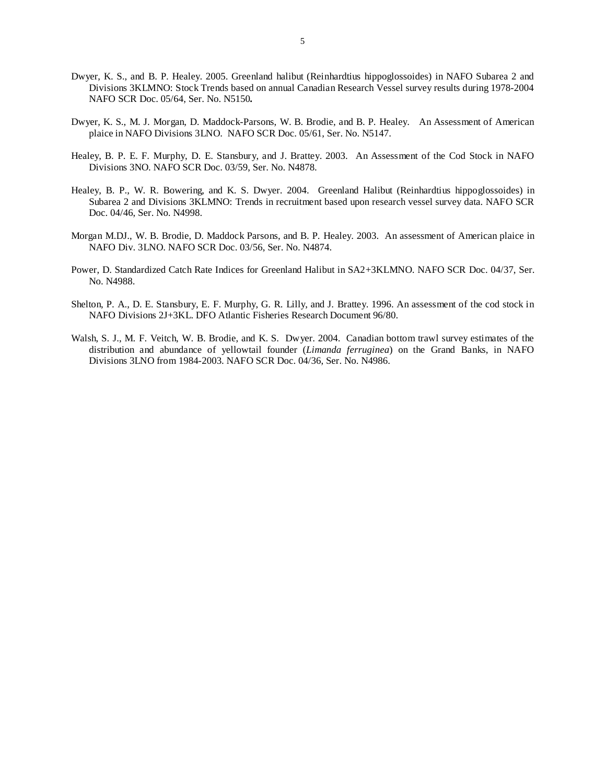- Dwyer, K. S., and B. P. Healey. 2005. Greenland halibut (Reinhardtius hippoglossoides) in NAFO Subarea 2 and Divisions 3KLMNO: Stock Trends based on annual Canadian Research Vessel survey results during 1978-2004 NAFO SCR Doc. 05/64, Ser. No. N5150*.*
- Dwyer, K. S., M. J. Morgan, D. Maddock-Parsons, W. B. Brodie, and B. P. Healey. An Assessment of American plaice in NAFO Divisions 3LNO. NAFO SCR Doc. 05/61, Ser. No. N5147.
- Healey, B. P. E. F. Murphy, D. E. Stansbury, and J. Brattey. 2003. An Assessment of the Cod Stock in NAFO Divisions 3NO. NAFO SCR Doc. 03/59, Ser. No. N4878.
- Healey, B. P., W. R. Bowering, and K. S. Dwyer. 2004. Greenland Halibut (Reinhardtius hippoglossoides) in Subarea 2 and Divisions 3KLMNO: Trends in recruitment based upon research vessel survey data. NAFO SCR Doc. 04/46, Ser. No. N4998.
- Morgan M.DJ., W. B. Brodie, D. Maddock Parsons, and B. P. Healey. 2003. An assessment of American plaice in NAFO Div. 3LNO. NAFO SCR Doc. 03/56, Ser. No. N4874.
- Power, D. Standardized Catch Rate Indices for Greenland Halibut in SA2+3KLMNO. NAFO SCR Doc. 04/37, Ser. No. N4988.
- Shelton, P. A., D. E. Stansbury, E. F. Murphy, G. R. Lilly, and J. Brattey. 1996. An assessment of the cod stock in NAFO Divisions 2J+3KL. DFO Atlantic Fisheries Research Document 96/80.
- Walsh, S. J., M. F. Veitch, W. B. Brodie, and K. S. Dwyer. 2004. Canadian bottom trawl survey estimates of the distribution and abundance of yellowtail founder (*Limanda ferruginea*) on the Grand Banks, in NAFO Divisions 3LNO from 1984-2003. NAFO SCR Doc. 04/36, Ser. No. N4986.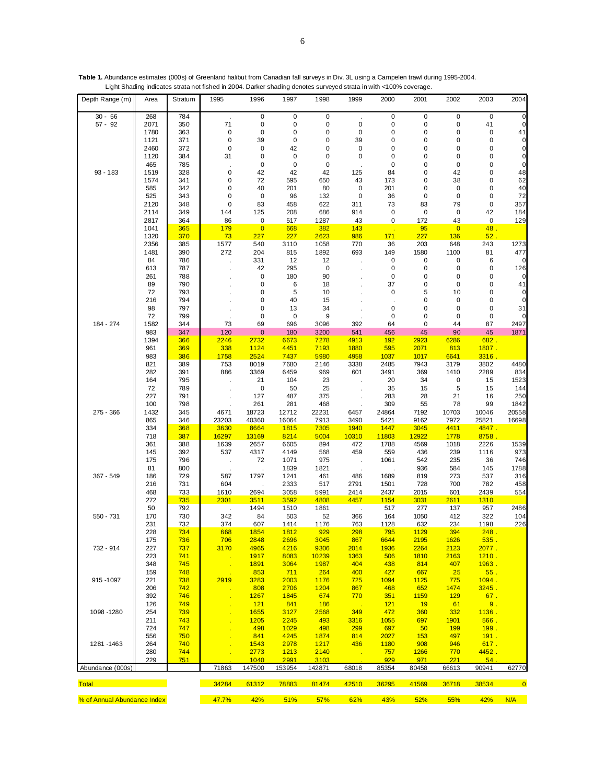|                             |              |                   | Light Shading indicates strata not fished in 2004. Darker shading denotes surveyed strata in with <100% coverage. |                     |                       |                    |                   |                    |                        |                    |              |                   |
|-----------------------------|--------------|-------------------|-------------------------------------------------------------------------------------------------------------------|---------------------|-----------------------|--------------------|-------------------|--------------------|------------------------|--------------------|--------------|-------------------|
| Depth Range (m)             | Area         | Stratum           | 1995                                                                                                              | 1996                | 1997                  | 1998               | 1999              | 2000               | 2001                   | 2002               | 2003         | 2004              |
| $30 - 56$                   | 268          | 784               | $\cdot$                                                                                                           | $\mathbf 0$         | 0                     | $\pmb{0}$          | $\cdot$           | $\pmb{0}$          | $\pmb{0}$              | $\mathbf 0$        | $\mathbf 0$  | $\mathbf 0$       |
| $57 - 92$                   | 2071         | 350               | 71                                                                                                                | $\pmb{0}$           | 0                     | $\pmb{0}$          | 0                 | $\pmb{0}$          | 0                      | 0                  | 41           | 0                 |
|                             | 1780         | 363<br>371        | 0<br>0                                                                                                            | $\mathbf 0$<br>39   | 0<br>0                | 0<br>0             | $\pmb{0}$<br>39   | 0<br>0             | $\pmb{0}$<br>$\pmb{0}$ | 0<br>0             | 0<br>0       | 41<br>$\mathbf 0$ |
|                             | 1121<br>2460 | 372               | $\pmb{0}$                                                                                                         | $\mathbf 0$         | 42                    | 0                  | 0                 | 0                  | $\pmb{0}$              | 0                  | 0            | 0                 |
|                             | 1120         | 384               | 31                                                                                                                | $\mathbf 0$         | 0                     | 0                  | 0                 | 0                  | 0                      | $\pmb{0}$          | 0            | $\mathbf 0$       |
|                             | 465          | 785               |                                                                                                                   | 0                   | 0                     | $\mathbf 0$        |                   | 0                  | 0                      | $\pmb{0}$          | 0            | $\mathbf 0$       |
| $93 - 183$                  | 1519         | 328               | $\pmb{0}$                                                                                                         | 42                  | 42                    | 42                 | 125               | 84                 | $\pmb{0}$              | 42                 | 0            | 48                |
|                             | 1574         | 341               | 0                                                                                                                 | 72                  | 595                   | 650                | 43                | 173                | 0                      | 38                 | 0            | 62                |
|                             | 585          | 342               | 0                                                                                                                 | 40                  | 201                   | 80                 | 0                 | 201                | 0                      | $\pmb{0}$          | 0            | 40                |
|                             | 525          | 343               | 0                                                                                                                 | $\pmb{0}$           | 96                    | 132                | $\pmb{0}$         | 36                 | $\pmb{0}$              | $\pmb{0}$          | 0            | 72                |
|                             | 2120<br>2114 | 348<br>349        | 0<br>144                                                                                                          | 83<br>125           | 458<br>208            | 622<br>686         | 311<br>914        | 73<br>$\pmb{0}$    | 83<br>$\pmb{0}$        | 79<br>$\pmb{0}$    | 0<br>42      | 357<br>184        |
|                             | 2817         | 364               | 86                                                                                                                | $\mathbf 0$         | 517                   | 1287               | 43                | 0                  | 172                    | 43                 | 0            | 129               |
|                             | 1041         | 365               | 179                                                                                                               | $\overline{0}$      | 668                   | 382                | 143               |                    | 95                     | $\overline{0}$     | 48.          |                   |
|                             | 1320         | 370               | 73                                                                                                                | 227                 | 227                   | 2623               | 986               | 171                | 227                    | 136                | 52.          |                   |
|                             | 2356         | 385               | 1577                                                                                                              | 540                 | 3110                  | 1058               | 770               | 36                 | 203                    | 648                | 243          | 1273              |
|                             | 1481         | 390               | 272                                                                                                               | 204                 | 815                   | 1892               | 693               | 149                | 1580                   | 1100               | 81           | 477               |
|                             | 84           | 786               |                                                                                                                   | 331                 | 12                    | 12                 |                   | 0                  | $\pmb{0}$<br>$\pmb{0}$ | 0<br>0             | 6            |                   |
|                             | 613<br>261   | 787<br>788        |                                                                                                                   | 42<br>$\mathbf 0$   | 295<br>180            | $\pmb{0}$<br>90    |                   | 0<br>$\pmb{0}$     | $\pmb{0}$              | 0                  | 0<br>0       | 126<br>0          |
|                             | 89           | 790               |                                                                                                                   | $\mathbf 0$         | 6                     | 18                 |                   | 37                 | 0                      | $\pmb{0}$          | 0            | 41                |
|                             | 72           | 793               |                                                                                                                   | 0                   | 5                     | 10                 |                   | 0                  | 5                      | 10                 | 0            | 0                 |
|                             | 216          | 794               |                                                                                                                   | $\mathbf 0$         | 40                    | 15                 |                   |                    | $\pmb{0}$              | 0                  | 0            | $\mathbf 0$       |
|                             | 98           | 797               |                                                                                                                   | 0                   | 13                    | 34                 |                   | 0                  | 0                      | $\mathbf 0$        | 0            | 31                |
|                             | 72           | 799               |                                                                                                                   | $\mathbf 0$         | 0                     | 9                  |                   | 0                  | $\pmb{0}$              | $\pmb{0}$          | 0            |                   |
| 184 - 274                   | 1582<br>983  | 344               | 73                                                                                                                | 69                  | 696                   | 3096               | 392               | 64                 | 0                      | 44<br>90           | 87           | 2497              |
|                             | 1394         | 347<br>366        | 120<br>2246                                                                                                       | $\bf{0}$<br>2732    | 180<br>6673           | 3200<br>7278       | 541<br>4913       | 456<br>192         | 45<br>2923             | 6286               | 45<br>682.   | 1871              |
|                             | 961          | 369               | 338                                                                                                               | 1124                | 4451                  | 7193               | <b>1880</b>       | 595                | 2071                   | 813                | 1807.        |                   |
|                             | 983          | 386               | 1758                                                                                                              | 2524                | 7437                  | 5980               | 4958              | 1037               | 1017                   | 6641               | 3316.        |                   |
|                             | 821          | 389               | 753                                                                                                               | 8019                | 7680                  | 2146               | 3338              | 2485               | 7943                   | 3179               | 3802         | 4480              |
|                             | 282          | 391               | 886                                                                                                               | 3369                | 6459                  | 969                | 601               | 3491               | 369                    | 1410               | 2289         | 834               |
|                             | 164          | 795               |                                                                                                                   | 21                  | 104                   | 23                 |                   | 20                 | 34                     | $\pmb{0}$          | 15           | 1523              |
|                             | 72           | 789               |                                                                                                                   | 0                   | 50                    | 25                 |                   | 35                 | 15                     | 5                  | 15           | 144               |
|                             | 227<br>100   | 791<br>798        |                                                                                                                   | 127<br>261          | 487<br>281            | 375<br>468         |                   | 283<br>309         | 28<br>55               | 21<br>78           | 16<br>99     | 250<br>1842       |
| 275 - 366                   | 1432         | 345               | 4671                                                                                                              | 18723               | 12712                 | 22231              | 6457              | 24864              | 7192                   | 10703              | 10046        | 20558             |
|                             | 865          | 346               | 23203                                                                                                             | 40360               | 16064                 | 7913               | 3490              | 5421               | 9162                   | 7972               | 25821        | 16698             |
|                             | 334          | 368               | 3630                                                                                                              | 8664                | 1815                  | 7305               | 1940              | 1447               | 3045                   | 4411               | 4847.        |                   |
|                             | 718          | 387               | 16297                                                                                                             | 13169               | 8214                  | 5004               | 10310             | 11803              | 12922                  | 1778               | 8758.        |                   |
|                             | 361          | 388               | 1639                                                                                                              | 2657                | 6605                  | 894                | 472               | 1788               | 4569                   | 1018               | 2226         | 1539              |
|                             | 145          | 392               | 537                                                                                                               | 4317                | 4149                  | 568                | 459               | 559                | 436<br>542             | 239                | 1116         | 973               |
|                             | 175<br>81    | 796<br>800        | $\ddot{\phantom{0}}$                                                                                              | 72                  | 1071<br>1839          | 975<br>1821        |                   | 1061               | 936                    | 235<br>584         | 36<br>145    | 746<br>1788       |
| 367 - 549                   | 186          | 729               | 587                                                                                                               | 1797                | 1241                  | 461                | 486               | 1689               | 819                    | 273                | 537          | 316               |
|                             | 216          | 731               | 604                                                                                                               |                     | 2333                  | 517                | 2791              | 1501               | 728                    | 700                | 782          | 458               |
|                             | 468          | 733               | 1610                                                                                                              | 2694                | 3058                  | 5991               | 2414              | 2437               | 2015                   | 601                | 2439         | 554               |
|                             | 272          | 735               | 2301                                                                                                              | 3511                | 3592                  | 4808               | 4457              | 1154               | 3031                   | 2611               | 1310         |                   |
|                             | 50           | 792               |                                                                                                                   | 1494                | 1510                  | 1861               | Ŷ.                | 517                | 277                    | 137                | 957          | 2486              |
| 550 - 731                   | 170          | 730               | 342                                                                                                               | 84                  | 503                   | 52                 | 366               | 164                | 1050                   | 412                | 322          | 104               |
|                             | 231<br>228   | 732<br><u>734</u> | 374<br>668                                                                                                        | 607<br>1854         | 1414<br><u>1812</u>   | 1176<br><u>929</u> | 763<br><u>298</u> | 1128<br><u>795</u> | 632<br><u>1129</u>     | 234<br><u>394</u>  | 1198<br>248. | 226               |
|                             | 175          | <b>736</b>        | 706                                                                                                               | 2848                | 2696                  | 3045               | 867               | 6644               | 2195                   | 1626               | 535.         |                   |
| 732 - 914                   | 227          | 737               | 3170                                                                                                              | 4965                | 4216                  | 9306               | 2014              | 1936               | 2264                   | 2123               | 2077.        |                   |
|                             | 223          | 741               |                                                                                                                   | <b>1917</b>         | 8083                  | 10239              | 1363              | 506                | <b>1810</b>            | 2163               | 1210.        |                   |
|                             | 348          | 745               | $\mathbf{r}$                                                                                                      | <b>1891</b>         | 3064                  | 1987               | 404               | 438                | 814                    | 407                | 1963.        |                   |
|                             | 159          | 748               |                                                                                                                   | 853                 | 711                   | 264                | 400               | 427                | 667                    | 25                 | 55.          |                   |
| 915-1097                    | 221          | 738               | 2919                                                                                                              | 3283                | 2003                  | 1176               | <b>725</b>        | 1094               | <b>1125</b>            | 775                | 1094.        |                   |
|                             | 206<br>392   | 742<br>746        |                                                                                                                   | 808                 | 2706                  | 1204<br>674        | 867               | 468                | 652                    | 1474<br><b>129</b> | 3245.        |                   |
|                             | 126          | 749               |                                                                                                                   | <u> 1267</u><br>121 | 1845<br>841           | <b>186</b>         | <b>770</b>        | 351<br>121         | <b>1159</b><br>19      | 61                 | 67.<br>9.    |                   |
| 1098 - 1280                 | 254          | 739               |                                                                                                                   | 1655                | 3127                  | 2568               | 349               | 472                | 360                    | 332                | 1136.        |                   |
|                             | 211          | 743               |                                                                                                                   | <b>1205</b>         | 2245                  | 493                | 3316              | 1055               | 697                    | <b>1901</b>        | 566.         |                   |
|                             | 724          | 747               |                                                                                                                   | 498                 | 1029                  | 498                | 299               | 697                | 50                     | <b>199</b>         | 199.         |                   |
|                             | 556          | 750               |                                                                                                                   | 841                 | 4245                  | 1874               | 814               | 2027               | <b>153</b>             | 497                | 191.         |                   |
| 1281 - 1463                 | 264          | 740               |                                                                                                                   | 1543                | 2978                  | <b>1217</b>        | 436               | <b>1180</b>        | 908                    | 946                | 617.         |                   |
|                             | 280          | 744               |                                                                                                                   | 2773                | 1213                  | 2140               | ×                 | 757                | 1266                   | 770                | 4452.        |                   |
| Abundance (000s)            | 229          | 751               | 71863                                                                                                             | 1040<br>147500      | <u>2991</u><br>153954 | 3103<br>142871     | 68018             | 929<br>85354       | 971<br>80458           | 221<br>66613       | 54<br>90941  | 62770             |
|                             |              |                   |                                                                                                                   |                     |                       |                    |                   |                    |                        |                    |              |                   |
| <b>Total</b>                |              |                   | 34284                                                                                                             | 61312               | 78883                 | 81474              | 42510             | 36295              | 41569                  | 36718              | 38534        | $\overline{0}$    |
| % of Annual Abundance Index |              |                   | 47.7%                                                                                                             | 42%                 | 51%                   | 57%                | 62%               | 43%                | 52%                    | 55%                | 42%          | N/A               |

**Table 1.** Abundance estimates (000s) of Greenland halibut from Canadian fall surveys in Div. 3L using a Campelen trawl during 1995-2004.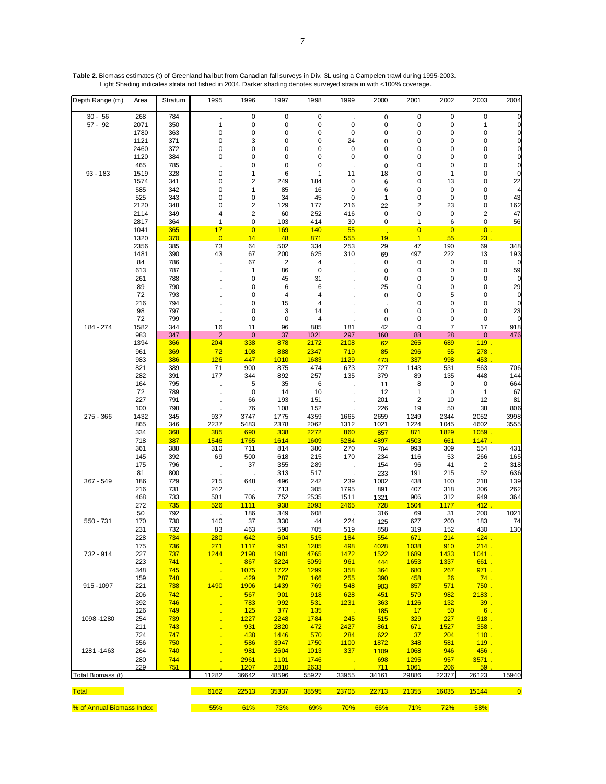| Depth Range (m)              | Area         | Stratum    | 1995                           | 1996                          | 1997           | 1998         | 1999            | 2000           | 2001                    | 2002             | 2003                         | 2004                       |
|------------------------------|--------------|------------|--------------------------------|-------------------------------|----------------|--------------|-----------------|----------------|-------------------------|------------------|------------------------------|----------------------------|
| $30 - 56$                    | 268          | 784        |                                | $\pmb{0}$                     | $\pmb{0}$      | $\pmb{0}$    |                 | $\pmb{0}$      | 0                       | $\pmb{0}$        | $\pmb{0}$                    | $\mathbf 0$                |
| $57 - 92$                    | 2071         | 350        | $\mathbf{1}$                   | $\pmb{0}$                     | 0              | 0            | $\pmb{0}$       | $\pmb{0}$      | 0                       | 0                | $\mathbf{1}$                 | 0                          |
|                              | 1780         | 363        | $\mathbf 0$                    | $\pmb{0}$                     | 0              | 0            | $\mathbf 0$     | 0              | 0                       | 0                | 0                            | $\mathbf 0$                |
|                              | 1121<br>2460 | 371<br>372 | 0<br>0                         | 3<br>$\mathbf 0$              | 0<br>0         | 0<br>0       | 24<br>$\pmb{0}$ | 0              | 0<br>0                  | 0<br>0           | 0<br>0                       | $\mathbf 0$<br>$\mathbf 0$ |
|                              | 1120         | 384        | $\mathbf 0$                    | $\mathbf 0$                   | 0              | 0            | 0               | 0<br>0         | 0                       | 0                | 0                            | $\mathbf 0$                |
|                              | 465          | 785        |                                | 0                             | 0              | 0            |                 | 0              | 0                       | $\mathbf 0$      | 0                            | 0                          |
| $93 - 183$                   | 1519         | 328        | 0                              | $\mathbf{1}$                  | 6              | 1            | 11              | 18             | 0                       | 1                | 0                            | $\mathbf 0$                |
|                              | 1574         | 341        | 0                              | $\overline{2}$                | 249            | 184          | $\mathbf 0$     | 6              | 0                       | 13               | 0                            | 22                         |
|                              | 585          | 342        | 0                              | 1                             | 85             | 16           | $\mathbf 0$     | 6              | 0                       | $\mathbf 0$      | 0                            |                            |
|                              | 525          | 343        | $\mathbf 0$                    | $\mathbf 0$                   | 34             | 45           | 0               | 1              | 0                       | $\mathbf 0$      | 0                            | 43                         |
|                              | 2120         | 348        | $\mathbf 0$                    | $\overline{2}$                | 129            | 177          | 216             | 22             | $\overline{\mathbf{c}}$ | 23               | 0                            | 162                        |
|                              | 2114<br>2817 | 349<br>364 | $\overline{4}$<br>$\mathbf{1}$ | $\overline{2}$<br>$\mathbf 0$ | 60<br>103      | 252<br>414   | 416<br>30       | $\pmb{0}$<br>0 | 0<br>1                  | $\mathbf 0$<br>6 | $\overline{\mathbf{c}}$<br>0 | 47<br>56                   |
|                              | 1041         | 365        | 17                             | $\overline{0}$                | <b>169</b>     | 140          | 55              |                | $\overline{0}$          | $\overline{0}$   | $0$ .                        |                            |
|                              | 1320         | 370        | $\overline{0}$                 | 14                            | 48             | 871          | 555             | 19             | $\overline{1}$          | 55               | 23                           |                            |
|                              | 2356         | 385        | 73                             | 64                            | 502            | 334          | 253             | 29             | 47                      | 190              | 69                           | 348                        |
|                              | 1481         | 390        | 43                             | 67                            | 200            | 625          | 310             | 69             | 497                     | 222              | 13                           | 193                        |
|                              | 84           | 786        |                                | 67                            | $\overline{2}$ | 4            |                 | 0              | 0                       | 0                | $\pmb{0}$                    | 0                          |
|                              | 613          | 787        |                                | 1                             | 86             | $\pmb{0}$    |                 | 0              | 0                       | 0                | 0                            | 59                         |
|                              | 261<br>89    | 788<br>790 |                                | $\mathbf 0$<br>0              | 45<br>6        | 31<br>6      |                 | 0<br>25        | 0<br>0                  | 0<br>0           | 0<br>0                       | 0<br>29                    |
|                              | 72           | 793        |                                | 0                             | 4              | 4            |                 | 0              | 0                       | 5                | 0                            | 0                          |
|                              | 216          | 794        |                                | $\mathbf 0$                   | 15             | 4            |                 |                | 0                       | 0                | 0                            | $\mathbf 0$                |
|                              | 98           | 797        |                                | 0                             | 3              | 14           |                 | 0              | 0                       | 0                | 0                            | 23                         |
|                              | 72           | 799        |                                | $\mathbf 0$                   | $\mathbf 0$    | 4            |                 | 0              | 0                       | 0                | $\pmb{0}$                    | 0                          |
| 184 - 274                    | 1582         | 344        | 16                             | 11                            | 96             | 885          | 181             | 42             | $\mathbf 0$             | $\overline{7}$   | 17                           | 918                        |
|                              | 983          | 347        | $\overline{2}$                 | $\mathbf 0$                   | 37             | 1021         | 297             | 160            | 88                      | 28               | $\mathbf 0$                  | 476                        |
|                              | 1394<br>961  | 366<br>369 | 204<br>72                      | 338<br>108                    | 878<br>888     | 2172<br>2347 | 2108<br>719     | 62<br>85       | 265<br>296              | 689              | 119.                         |                            |
|                              | 983          | 386        | 126                            | 447                           | 1010           | 1683         | 1129            | 473            | 337                     | 55<br>998        | 278.<br>453                  |                            |
|                              | 821          | 389        | 71                             | 900                           | 875            | 474          | 673             | 727            | 1143                    | 531              | 563                          | 706                        |
|                              | 282          | 391        | 177                            | 344                           | 892            | 257          | 135             | 379            | 89                      | 135              | 448                          | 144                        |
|                              | 164          | 795        |                                | 5                             | 35             | 6            |                 | 11             | 8                       | 0                | 0                            | 664                        |
|                              | 72           | 789        |                                | 0                             | 14             | 10           |                 | 12             | 1                       | 0                | $\mathbf{1}$                 | 67                         |
|                              | 227          | 791        |                                | 66                            | 193            | 151          |                 | 201            | $\overline{\mathbf{c}}$ | 10               | 12                           | 81                         |
|                              | 100          | 798        |                                | 76                            | 108            | 152          |                 | 226            | 19                      | 50               | 38                           | 806                        |
| 275 - 366                    | 1432<br>865  | 345<br>346 | 937<br>2237                    | 3747<br>5483                  | 1775<br>2378   | 4359<br>2062 | 1665<br>1312    | 2659<br>1021   | 1249<br>1224            | 2344<br>1045     | 2052<br>4602                 | 3998<br>3555               |
|                              | 334          | 368        | 385                            | 690                           | 338            | 2272         | 860             | 857            | 871                     | 1829             | 1059.                        |                            |
|                              | 718          | 387        | 1546                           | 1765                          | 1614           | 1609         | 5284            | 4897           | 4503                    | 661              | 1147                         |                            |
|                              | 361          | 388        | 310                            | 711                           | 814            | 380          | 270             | 704            | 993                     | 309              | 554                          | 431                        |
|                              | 145          | 392        | 69                             | 500                           | 618            | 215          | 170             | 234            | 116                     | 53               | 266                          | 165                        |
|                              | 175          | 796        |                                | 37                            | 355            | 289          |                 | 154            | 96                      | 41               | $\overline{2}$               | 318                        |
|                              | 81           | 800        |                                |                               | 313            | 517          |                 | 233            | 191                     | 215              | 52                           | 636                        |
| 367 - 549                    | 186          | 729        | 215                            | 648                           | 496            | 242          | 239             | 1002           | 438                     | 100              | 218                          | 139                        |
|                              | 216<br>468   | 731<br>733 | 242<br>501                     | 706                           | 713<br>752     | 305<br>2535  | 1795<br>1511    | 891<br>1321    | 407<br>906              | 318<br>312       | 306<br>949                   | 262<br>364                 |
|                              | 272          | 735        | 526                            | <b>1111</b>                   | 938            | 2093         | 2465            | 728            | 1504                    | 1177             | 412                          |                            |
|                              | 50           | 792        |                                | 186                           | 349            | 608          |                 | 316            | 69                      | 31               | 200                          | 1021                       |
| $550 - 731$                  | 170          | 730        | 140                            | 37                            | 330            | 44           | 224             | 125            | 627                     | 200              | 183                          | 74                         |
|                              | 231          | 732        | 83                             | 463                           | 590            | 705          | 519             | 858            | 319                     | 152              | 430                          | 130                        |
|                              | 228          | 734        | 280                            | 642                           | 604            | 515          | 184             | 554            | 671                     | 214              | 124.                         |                            |
|                              | 175          | <b>736</b> | 271                            | 1117                          | 951            | 1285         | 498             | 4028           | 1038                    | 910              | 214.                         |                            |
| 732 - 914                    | 227<br>223   | 737<br>741 | 1244                           | 2198<br>867                   | 1981<br>3224   | 4765<br>5059 | 1472<br>961     | 1522<br>444    | 1689<br>1653            | 1433<br>1337     | 1041.<br>661.                |                            |
|                              | 348          | 745        |                                | 1075                          | 1722           | <b>1299</b>  | 358             | 364            | 680                     | 267              | 971.                         |                            |
|                              | 159          | 748        | <b>TER</b>                     | 429                           | 287            | 166          | 255             | 390            | 458                     | 26               | 74.                          |                            |
| 915-1097                     | 221          | 738        | 1490                           | 1906                          | 1439           | 769          | 548             | 903            | 857                     | 571              | 750.                         |                            |
|                              | 206          | 742        |                                | 567                           | 901            | 918          | 628             | 451            | 579                     | 982              | 2183.                        |                            |
|                              | 392          | 746        |                                | 783                           | 992            | 531          | 1231            | 363            | 1126                    | 132              | 39.                          |                            |
|                              | 126          | 749        |                                | 125                           | 377            | <b>135</b>   |                 | 185            | 17                      | 50               | 6.                           |                            |
| 1098 - 1280                  | 254          | 739        |                                | <u>1227</u>                   | 2248           | 1784         | 245             | 515            | 329                     | <b>227</b>       | 918.                         |                            |
|                              | 211<br>724   | 743<br>747 |                                | 931<br>438                    | 2820<br>1446   | 472<br>570   | 2427<br>284     | 861<br>622     | 671<br>37               | 1527<br>204      | 358.<br>110.                 |                            |
|                              | 556          | 750        |                                | 586                           | 3947           | 1750         | 1100            | 1872           | 348                     | 581              | <u>119.</u>                  |                            |
| 1281-1463                    | 264          | 740        |                                | 981                           | 2604           | 1013         | 337             | 1109           | 1068                    | 946              | 456.                         |                            |
|                              | 280          | 744        |                                | 2961                          | 1101           | 1746         |                 | 698            | 1295                    | 957              | 3571.                        |                            |
|                              | 229          | 751        |                                | 1207                          | 2810           | 2633         |                 | <u>711</u>     | 1061                    | 206              | 59                           |                            |
| Total Biomass (t)            |              |            | 11282                          | 36642                         | 48596          | 55927        | 33955           | 34161          | 29886                   | 22377            | 26123                        | 15940                      |
| <b>Total The State State</b> |              |            | 6162                           | 22513                         | 35337          | 38595        | 23705           | 22713          | 21355                   | 16035            | 15144                        | $\overline{\phantom{0}}$ 0 |
| % of Annual Biomass Index    |              |            | 55%                            | 61%                           | 73%            | 69%          | 70%             | 66%            | 71%                     | 72%              | 58%                          |                            |

**Table 2**. Biomass estimates (t) of Greenland halibut from Canadian fall surveys in Div. 3L using a Campelen trawl during 1995-2003. Light Shading indicates strata not fished in 2004. Darker shading denotes surveyed strata in with <100% coverage.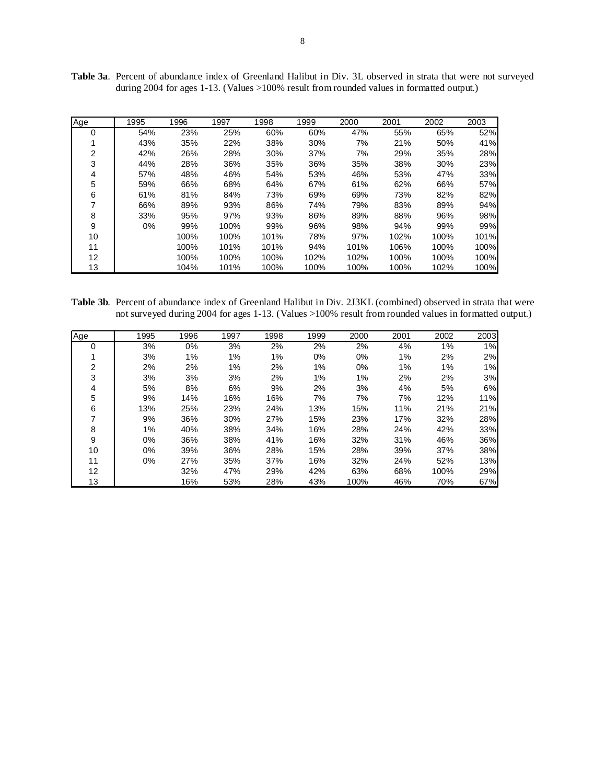| Age | 1995 | 1996 | 1997 | 1998 | 1999 | 2000 | 2001 | 2002 | 2003 |
|-----|------|------|------|------|------|------|------|------|------|
| 0   | 54%  | 23%  | 25%  | 60%  | 60%  | 47%  | 55%  | 65%  | 52%  |
|     | 43%  | 35%  | 22%  | 38%  | 30%  | 7%   | 21%  | 50%  | 41%  |
| 2   | 42%  | 26%  | 28%  | 30%  | 37%  | 7%   | 29%  | 35%  | 28%  |
| 3   | 44%  | 28%  | 36%  | 35%  | 36%  | 35%  | 38%  | 30%  | 23%  |
| 4   | 57%  | 48%  | 46%  | 54%  | 53%  | 46%  | 53%  | 47%  | 33%  |
| 5   | 59%  | 66%  | 68%  | 64%  | 67%  | 61%  | 62%  | 66%  | 57%  |
| 6   | 61%  | 81%  | 84%  | 73%  | 69%  | 69%  | 73%  | 82%  | 82%  |
| 7   | 66%  | 89%  | 93%  | 86%  | 74%  | 79%  | 83%  | 89%  | 94%  |
| 8   | 33%  | 95%  | 97%  | 93%  | 86%  | 89%  | 88%  | 96%  | 98%  |
| 9   | 0%   | 99%  | 100% | 99%  | 96%  | 98%  | 94%  | 99%  | 99%  |
| 10  |      | 100% | 100% | 101% | 78%  | 97%  | 102% | 100% | 101% |
| 11  |      | 100% | 101% | 101% | 94%  | 101% | 106% | 100% | 100% |
| 12  |      | 100% | 100% | 100% | 102% | 102% | 100% | 100% | 100% |
| 13  |      | 104% | 101% | 100% | 100% | 100% | 100% | 102% | 100% |

**Table 3a**. Percent of abundance index of Greenland Halibut in Div. 3L observed in strata that were not surveyed during 2004 for ages 1-13. (Values >100% result from rounded values in formatted output.)

**Table 3b**. Percent of abundance index of Greenland Halibut in Div. 2J3KL (combined) observed in strata that were not surveyed during 2004 for ages 1-13. (Values >100% result from rounded values in formatted output.)

| Age            | 1995 | 1996 | 1997 | 1998 | 1999  | 2000 | 2001 | 2002 | 2003 |
|----------------|------|------|------|------|-------|------|------|------|------|
| 0              | 3%   | 0%   | 3%   | 2%   | 2%    | 2%   | 4%   | 1%   | 1%   |
|                | 3%   | 1%   | 1%   | 1%   | $0\%$ | 0%   | 1%   | 2%   | 2%   |
| $\overline{2}$ | 2%   | 2%   | 1%   | 2%   | 1%    | 0%   | 1%   | 1%   | 1%   |
| 3              | 3%   | 3%   | 3%   | 2%   | 1%    | 1%   | 2%   | 2%   | 3%   |
| 4              | 5%   | 8%   | 6%   | 9%   | 2%    | 3%   | 4%   | 5%   | 6%   |
| 5              | 9%   | 14%  | 16%  | 16%  | 7%    | 7%   | 7%   | 12%  | 11%  |
| 6              | 13%  | 25%  | 23%  | 24%  | 13%   | 15%  | 11%  | 21%  | 21%  |
|                | 9%   | 36%  | 30%  | 27%  | 15%   | 23%  | 17%  | 32%  | 28%  |
| 8              | 1%   | 40%  | 38%  | 34%  | 16%   | 28%  | 24%  | 42%  | 33%  |
| 9              | 0%   | 36%  | 38%  | 41%  | 16%   | 32%  | 31%  | 46%  | 36%  |
| 10             | 0%   | 39%  | 36%  | 28%  | 15%   | 28%  | 39%  | 37%  | 38%  |
| 11             | 0%   | 27%  | 35%  | 37%  | 16%   | 32%  | 24%  | 52%  | 13%  |
| 12             |      | 32%  | 47%  | 29%  | 42%   | 63%  | 68%  | 100% | 29%  |
| 13             |      | 16%  | 53%  | 28%  | 43%   | 100% | 46%  | 70%  | 67%  |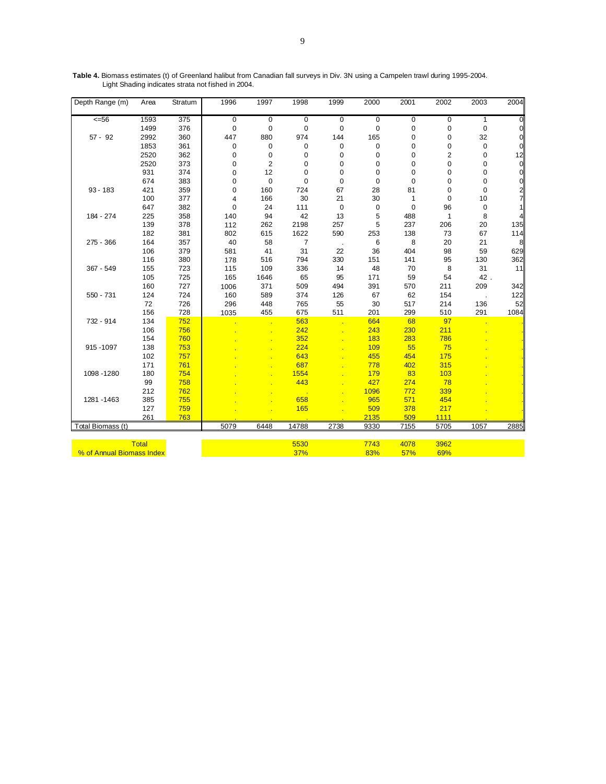| Depth Range (m)   | Area         | Stratum | 1996        | 1997           | 1998        | 1999        | 2000        | 2001        | 2002           | 2003        | 2004           |
|-------------------|--------------|---------|-------------|----------------|-------------|-------------|-------------|-------------|----------------|-------------|----------------|
| 556               | 1593         | 375     | $\mathbf 0$ | $\mathbf 0$    | $\mathbf 0$ | $\mathbf 0$ | $\mathsf 0$ | $\mathbf 0$ | 0              | 1           | $\overline{0}$ |
|                   | 1499         | 376     | $\mathbf 0$ | 0              | 0           | $\mathbf 0$ | 0           | 0           | 0              | $\pmb{0}$   | $\overline{0}$ |
| $57 - 92$         | 2992         | 360     | 447         | 880            | 974         | 144         | 165         | 0           | 0              | 32          | $\overline{0}$ |
|                   | 1853         | 361     | 0           | 0              | 0           | 0           | 0           | 0           | 0              | 0           | $\mathbf 0$    |
|                   | 2520         | 362     | $\mathbf 0$ | $\mathbf 0$    | 0           | $\mathbf 0$ | $\mathbf 0$ | 0           | $\overline{2}$ | 0           | 12             |
|                   | 2520         | 373     | $\mathbf 0$ | $\overline{2}$ | 0           | $\mathbf 0$ | 0           | 0           | 0              | 0           | $\pmb{0}$      |
|                   | 931          | 374     | $\mathbf 0$ | 12             | 0           | 0           | 0           | $\mathbf 0$ | 0              | 0           | $\pmb{0}$      |
|                   | 674          | 383     | $\mathbf 0$ | $\mathbf 0$    | 0           | 0           | 0           | $\mathbf 0$ | 0              | 0           | $\mathbf 0$    |
| $93 - 183$        | 421          | 359     | $\mathbf 0$ | 160            | 724         | 67          | 28          | 81          | 0              | $\mathbf 0$ |                |
|                   | 100          | 377     | 4           | 166            | 30          | 21          | 30          | 1           | 0              | 10          | $\frac{2}{7}$  |
|                   | 647          | 382     | $\mathbf 0$ | 24             | 111         | $\mathbf 0$ | 0           | $\mathbf 0$ | 96             | 0           | 1              |
| 184 - 274         | 225          | 358     | 140         | 94             | 42          | 13          | 5           | 488         | 1              | 8           | $\overline{4}$ |
|                   | 139          | 378     | 112         | 262            | 2198        | 257         | 5           | 237         | 206            | 20          | 135            |
|                   | 182          | 381     | 802         | 615            | 1622        | 590         | 253         | 138         | 73             | 67          | 114            |
| 275 - 366         | 164          | 357     | 40          | 58             | 7           |             | 6           | 8           | 20             | 21          | 8              |
|                   | 106          | 379     | 581         | 41             | 31          | 22          | 36          | 404         | 98             | 59          | 629            |
|                   | 116          | 380     | 178         | 516            | 794         | 330         | 151         | 141         | 95             | 130         | 362            |
| 367 - 549         | 155          | 723     | 115         | 109            | 336         | 14          | 48          | 70          | 8              | 31          | 11             |
|                   | 105          | 725     | 165         | 1646           | 65          | 95          | 171         | 59          | 54             | 42.         |                |
|                   | 160          | 727     | 1006        | 371            | 509         | 494         | 391         | 570         | 211            | 209         | 342            |
| 550 - 731         | 124          | 724     | 160         | 589            | 374         | 126         | 67          | 62          | 154            |             | 122            |
|                   | 72           | 726     | 296         | 448            | 765         | 55          | 30          | 517         | 214            | 136         | 52             |
|                   | 156          | 728     | 1035        | 455            | 675         | 511         | 201         | 299         | 510            | 291         | 1084           |
| 732 - 914         | 134          | 752     |             |                | 563         |             | 664         | 68          | 97             |             |                |
|                   | 106          | 756     |             |                | 242         |             | 243         | 230         | 211            |             |                |
|                   | 154          | 760     |             |                | 352         |             | 183         | 283         | 786            |             |                |
| 915-1097          | 138          | 753     |             |                | 224         |             | 109         | 55          | 75             |             |                |
|                   | 102          | 757     |             |                | 643         |             | 455         | 454         | 175            |             |                |
|                   | 171          | 761     |             |                | 687         |             | 778         | 402         | 315            |             |                |
| 1098 - 1280       | 180          | 754     |             |                | 1554        |             | 179         | 83          | 103            |             |                |
|                   | 99           | 758     |             |                | 443         |             | 427         | 274         | 78             |             |                |
|                   | 212          | 762     |             |                |             |             | 1096        | 772         | 339            |             |                |
| 1281 - 1463       | 385          | 755     |             |                | 658         |             | 965         | 571         | 454            |             |                |
|                   | 127          | 759     |             |                | 165         |             | 509         | 378         | 217            |             |                |
|                   | 261          | 763     |             |                |             |             | 2135        | 509         | 1111           |             |                |
| Total Biomass (t) |              |         | 5079        | 6448           | 14788       | 2738        | 9330        | 7155        | 5705           | 1057        | 2885           |
|                   | <b>Total</b> |         |             |                | 5530        |             | 7743        | 4078        | 3962           |             |                |

**Table 4.** Biomass estimates (t) of Greenland halibut from Canadian fall surveys in Div. 3N using a Campelen trawl during 1995-2004. Light Shading indicates strata not fished in 2004.

% of Annual Biomass Index 37% 83% 57% 69% 69% 69% for a state and state and state and state and state and state  $37\%$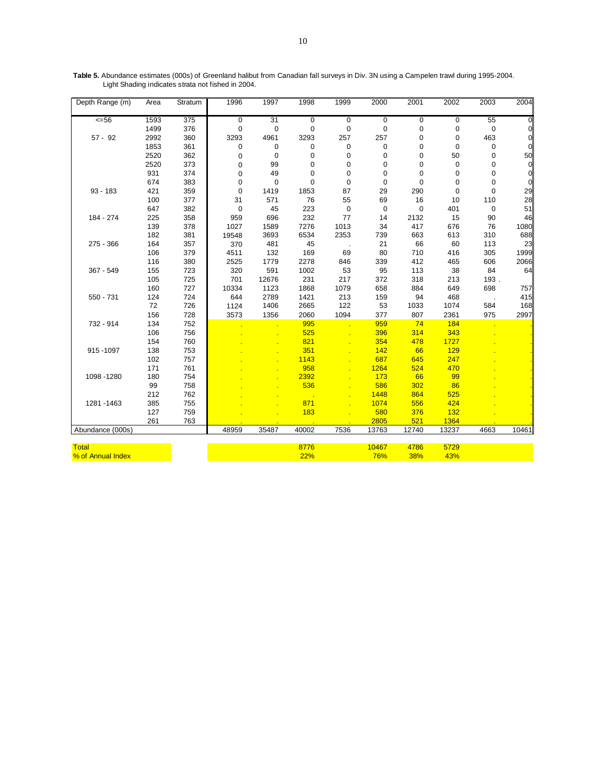| $\overline{56}$<br>1593<br>$\overline{375}$<br>31<br>$\mathbf 0$<br>$\mathbf 0$<br>$\mathbf 0$<br>$\mathbf 0$<br>$\mathbf 0$<br>$\mathbf 0$<br>55<br>$\mathbf 0$<br>1499<br>376<br>$\mathbf 0$<br>$\mathbf 0$<br>$\mathbf 0$<br>$\mathbf 0$<br>$\mathbf 0$<br>$\mathbf 0$<br>0<br>0<br>0<br>463<br>$\overline{0}$<br>$57 - 92$<br>2992<br>360<br>3293<br>4961<br>3293<br>257<br>257<br>$\pmb{0}$<br>$\mathbf 0$<br>1853<br>361<br>$\mathbf 0$<br>0<br>$\mathbf 0$<br>0<br>0<br>0<br>0<br>0<br>0<br>50<br>2520<br>362<br>0<br>$\mathbf 0$<br>50<br>0<br>$\mathbf 0$<br>0<br>0<br>0<br>2520<br>373<br>99<br>$\pmb{0}$<br>$\overline{0}$<br>0<br>0<br>0<br>0<br>0<br>$\mathbf 0$<br>931<br>374<br>49<br>$\mathbf 0$<br>$\mathbf 0$<br>0<br>0<br>0<br>0<br>0<br>$\mathbf 0$<br>674<br>$\mathbf 0$<br>$\mathbf 0$<br>$\mathbf 0$<br>$\mathbf 0$<br>383<br>$\mathbf 0$<br>$\mathbf 0$<br>$\mathbf 0$<br>0<br>0<br>29<br>$\mathbf 0$<br>$93 - 183$<br>421<br>359<br>$\mathbf 0$<br>1853<br>87<br>29<br>290<br>$\mathbf 0$<br>1419<br>28<br>100<br>377<br>31<br>571<br>76<br>55<br>69<br>16<br>10<br>110<br>51<br>647<br>382<br>$\boldsymbol{0}$<br>45<br>223<br>$\pmb{0}$<br>$\mathbf 0$<br>$\pmb{0}$<br>401<br>0<br>15<br>46<br>358<br>696<br>232<br>77<br>14<br>2132<br>90<br>184 - 274<br>225<br>959<br>1013<br>139<br>378<br>1027<br>1589<br>7276<br>417<br>676<br>76<br>1080<br>34<br>3693<br>2353<br>663<br>688<br>182<br>381<br>6534<br>739<br>613<br>310<br>19548<br>66<br>23<br>$275 - 366$<br>164<br>357<br>481<br>45<br>21<br>60<br>113<br>370<br>169<br>1999<br>106<br>379<br>4511<br>132<br>69<br>80<br>710<br>416<br>305<br>116<br>380<br>2525<br>339<br>412<br>465<br>606<br>2066<br>1779<br>2278<br>846<br>155<br>320<br>591<br>1002<br>53<br>95<br>113<br>38<br>84<br>64<br>367 - 549<br>723<br>105<br>701<br>231<br>217<br>372<br>318<br>213<br>193.<br>725<br>12676<br>160<br>727<br>10334<br>1123<br>1868<br>1079<br>658<br>884<br>649<br>698<br>757<br>2789<br>$550 - 731$<br>124<br>724<br>644<br>1421<br>213<br>159<br>94<br>468<br>415<br>1406<br>122<br>168<br>72<br>726<br>2665<br>53<br>1033<br>1074<br>584<br>1124<br>1094<br>807<br>2997<br>156<br>728<br>1356<br>2060<br>377<br>2361<br>975<br>3573<br>134<br>752<br>995<br>959<br>74<br>184<br>732 - 914<br>396<br>343<br>106<br>756<br>525<br>314<br>154<br>760<br>821<br>354<br>478<br>1727<br>66<br>129<br>138<br>753<br>351<br>142<br>915-1097<br>102<br>757<br>687<br>645<br>247<br>1143<br>171<br>761<br>958<br>1264<br>524<br>470<br>180<br>2392<br>66<br>99<br>1098 - 1280<br>754<br>173 | Depth Range (m) | Area | Stratum | 1996 | 1997 | 1998 | 1999 | 2000 | 2001 | 2002 | 2003 | 2004 |
|--------------------------------------------------------------------------------------------------------------------------------------------------------------------------------------------------------------------------------------------------------------------------------------------------------------------------------------------------------------------------------------------------------------------------------------------------------------------------------------------------------------------------------------------------------------------------------------------------------------------------------------------------------------------------------------------------------------------------------------------------------------------------------------------------------------------------------------------------------------------------------------------------------------------------------------------------------------------------------------------------------------------------------------------------------------------------------------------------------------------------------------------------------------------------------------------------------------------------------------------------------------------------------------------------------------------------------------------------------------------------------------------------------------------------------------------------------------------------------------------------------------------------------------------------------------------------------------------------------------------------------------------------------------------------------------------------------------------------------------------------------------------------------------------------------------------------------------------------------------------------------------------------------------------------------------------------------------------------------------------------------------------------------------------------------------------------------------------------------------------------------------------------------------------------------------------------------------------------------------------------------------------------------------------------------------------------------------------------------------------------------------------------------------------------------------------------------------------------------------------------------------------------------------------------------------------------|-----------------|------|---------|------|------|------|------|------|------|------|------|------|
|                                                                                                                                                                                                                                                                                                                                                                                                                                                                                                                                                                                                                                                                                                                                                                                                                                                                                                                                                                                                                                                                                                                                                                                                                                                                                                                                                                                                                                                                                                                                                                                                                                                                                                                                                                                                                                                                                                                                                                                                                                                                                                                                                                                                                                                                                                                                                                                                                                                                                                                                                                          |                 |      |         |      |      |      |      |      |      |      |      |      |
|                                                                                                                                                                                                                                                                                                                                                                                                                                                                                                                                                                                                                                                                                                                                                                                                                                                                                                                                                                                                                                                                                                                                                                                                                                                                                                                                                                                                                                                                                                                                                                                                                                                                                                                                                                                                                                                                                                                                                                                                                                                                                                                                                                                                                                                                                                                                                                                                                                                                                                                                                                          |                 |      |         |      |      |      |      |      |      |      |      |      |
|                                                                                                                                                                                                                                                                                                                                                                                                                                                                                                                                                                                                                                                                                                                                                                                                                                                                                                                                                                                                                                                                                                                                                                                                                                                                                                                                                                                                                                                                                                                                                                                                                                                                                                                                                                                                                                                                                                                                                                                                                                                                                                                                                                                                                                                                                                                                                                                                                                                                                                                                                                          |                 |      |         |      |      |      |      |      |      |      |      |      |
|                                                                                                                                                                                                                                                                                                                                                                                                                                                                                                                                                                                                                                                                                                                                                                                                                                                                                                                                                                                                                                                                                                                                                                                                                                                                                                                                                                                                                                                                                                                                                                                                                                                                                                                                                                                                                                                                                                                                                                                                                                                                                                                                                                                                                                                                                                                                                                                                                                                                                                                                                                          |                 |      |         |      |      |      |      |      |      |      |      |      |
|                                                                                                                                                                                                                                                                                                                                                                                                                                                                                                                                                                                                                                                                                                                                                                                                                                                                                                                                                                                                                                                                                                                                                                                                                                                                                                                                                                                                                                                                                                                                                                                                                                                                                                                                                                                                                                                                                                                                                                                                                                                                                                                                                                                                                                                                                                                                                                                                                                                                                                                                                                          |                 |      |         |      |      |      |      |      |      |      |      |      |
|                                                                                                                                                                                                                                                                                                                                                                                                                                                                                                                                                                                                                                                                                                                                                                                                                                                                                                                                                                                                                                                                                                                                                                                                                                                                                                                                                                                                                                                                                                                                                                                                                                                                                                                                                                                                                                                                                                                                                                                                                                                                                                                                                                                                                                                                                                                                                                                                                                                                                                                                                                          |                 |      |         |      |      |      |      |      |      |      |      |      |
|                                                                                                                                                                                                                                                                                                                                                                                                                                                                                                                                                                                                                                                                                                                                                                                                                                                                                                                                                                                                                                                                                                                                                                                                                                                                                                                                                                                                                                                                                                                                                                                                                                                                                                                                                                                                                                                                                                                                                                                                                                                                                                                                                                                                                                                                                                                                                                                                                                                                                                                                                                          |                 |      |         |      |      |      |      |      |      |      |      |      |
|                                                                                                                                                                                                                                                                                                                                                                                                                                                                                                                                                                                                                                                                                                                                                                                                                                                                                                                                                                                                                                                                                                                                                                                                                                                                                                                                                                                                                                                                                                                                                                                                                                                                                                                                                                                                                                                                                                                                                                                                                                                                                                                                                                                                                                                                                                                                                                                                                                                                                                                                                                          |                 |      |         |      |      |      |      |      |      |      |      |      |
|                                                                                                                                                                                                                                                                                                                                                                                                                                                                                                                                                                                                                                                                                                                                                                                                                                                                                                                                                                                                                                                                                                                                                                                                                                                                                                                                                                                                                                                                                                                                                                                                                                                                                                                                                                                                                                                                                                                                                                                                                                                                                                                                                                                                                                                                                                                                                                                                                                                                                                                                                                          |                 |      |         |      |      |      |      |      |      |      |      |      |
|                                                                                                                                                                                                                                                                                                                                                                                                                                                                                                                                                                                                                                                                                                                                                                                                                                                                                                                                                                                                                                                                                                                                                                                                                                                                                                                                                                                                                                                                                                                                                                                                                                                                                                                                                                                                                                                                                                                                                                                                                                                                                                                                                                                                                                                                                                                                                                                                                                                                                                                                                                          |                 |      |         |      |      |      |      |      |      |      |      |      |
|                                                                                                                                                                                                                                                                                                                                                                                                                                                                                                                                                                                                                                                                                                                                                                                                                                                                                                                                                                                                                                                                                                                                                                                                                                                                                                                                                                                                                                                                                                                                                                                                                                                                                                                                                                                                                                                                                                                                                                                                                                                                                                                                                                                                                                                                                                                                                                                                                                                                                                                                                                          |                 |      |         |      |      |      |      |      |      |      |      |      |
|                                                                                                                                                                                                                                                                                                                                                                                                                                                                                                                                                                                                                                                                                                                                                                                                                                                                                                                                                                                                                                                                                                                                                                                                                                                                                                                                                                                                                                                                                                                                                                                                                                                                                                                                                                                                                                                                                                                                                                                                                                                                                                                                                                                                                                                                                                                                                                                                                                                                                                                                                                          |                 |      |         |      |      |      |      |      |      |      |      |      |
|                                                                                                                                                                                                                                                                                                                                                                                                                                                                                                                                                                                                                                                                                                                                                                                                                                                                                                                                                                                                                                                                                                                                                                                                                                                                                                                                                                                                                                                                                                                                                                                                                                                                                                                                                                                                                                                                                                                                                                                                                                                                                                                                                                                                                                                                                                                                                                                                                                                                                                                                                                          |                 |      |         |      |      |      |      |      |      |      |      |      |
|                                                                                                                                                                                                                                                                                                                                                                                                                                                                                                                                                                                                                                                                                                                                                                                                                                                                                                                                                                                                                                                                                                                                                                                                                                                                                                                                                                                                                                                                                                                                                                                                                                                                                                                                                                                                                                                                                                                                                                                                                                                                                                                                                                                                                                                                                                                                                                                                                                                                                                                                                                          |                 |      |         |      |      |      |      |      |      |      |      |      |
|                                                                                                                                                                                                                                                                                                                                                                                                                                                                                                                                                                                                                                                                                                                                                                                                                                                                                                                                                                                                                                                                                                                                                                                                                                                                                                                                                                                                                                                                                                                                                                                                                                                                                                                                                                                                                                                                                                                                                                                                                                                                                                                                                                                                                                                                                                                                                                                                                                                                                                                                                                          |                 |      |         |      |      |      |      |      |      |      |      |      |
|                                                                                                                                                                                                                                                                                                                                                                                                                                                                                                                                                                                                                                                                                                                                                                                                                                                                                                                                                                                                                                                                                                                                                                                                                                                                                                                                                                                                                                                                                                                                                                                                                                                                                                                                                                                                                                                                                                                                                                                                                                                                                                                                                                                                                                                                                                                                                                                                                                                                                                                                                                          |                 |      |         |      |      |      |      |      |      |      |      |      |
|                                                                                                                                                                                                                                                                                                                                                                                                                                                                                                                                                                                                                                                                                                                                                                                                                                                                                                                                                                                                                                                                                                                                                                                                                                                                                                                                                                                                                                                                                                                                                                                                                                                                                                                                                                                                                                                                                                                                                                                                                                                                                                                                                                                                                                                                                                                                                                                                                                                                                                                                                                          |                 |      |         |      |      |      |      |      |      |      |      |      |
|                                                                                                                                                                                                                                                                                                                                                                                                                                                                                                                                                                                                                                                                                                                                                                                                                                                                                                                                                                                                                                                                                                                                                                                                                                                                                                                                                                                                                                                                                                                                                                                                                                                                                                                                                                                                                                                                                                                                                                                                                                                                                                                                                                                                                                                                                                                                                                                                                                                                                                                                                                          |                 |      |         |      |      |      |      |      |      |      |      |      |
|                                                                                                                                                                                                                                                                                                                                                                                                                                                                                                                                                                                                                                                                                                                                                                                                                                                                                                                                                                                                                                                                                                                                                                                                                                                                                                                                                                                                                                                                                                                                                                                                                                                                                                                                                                                                                                                                                                                                                                                                                                                                                                                                                                                                                                                                                                                                                                                                                                                                                                                                                                          |                 |      |         |      |      |      |      |      |      |      |      |      |
|                                                                                                                                                                                                                                                                                                                                                                                                                                                                                                                                                                                                                                                                                                                                                                                                                                                                                                                                                                                                                                                                                                                                                                                                                                                                                                                                                                                                                                                                                                                                                                                                                                                                                                                                                                                                                                                                                                                                                                                                                                                                                                                                                                                                                                                                                                                                                                                                                                                                                                                                                                          |                 |      |         |      |      |      |      |      |      |      |      |      |
|                                                                                                                                                                                                                                                                                                                                                                                                                                                                                                                                                                                                                                                                                                                                                                                                                                                                                                                                                                                                                                                                                                                                                                                                                                                                                                                                                                                                                                                                                                                                                                                                                                                                                                                                                                                                                                                                                                                                                                                                                                                                                                                                                                                                                                                                                                                                                                                                                                                                                                                                                                          |                 |      |         |      |      |      |      |      |      |      |      |      |
|                                                                                                                                                                                                                                                                                                                                                                                                                                                                                                                                                                                                                                                                                                                                                                                                                                                                                                                                                                                                                                                                                                                                                                                                                                                                                                                                                                                                                                                                                                                                                                                                                                                                                                                                                                                                                                                                                                                                                                                                                                                                                                                                                                                                                                                                                                                                                                                                                                                                                                                                                                          |                 |      |         |      |      |      |      |      |      |      |      |      |
|                                                                                                                                                                                                                                                                                                                                                                                                                                                                                                                                                                                                                                                                                                                                                                                                                                                                                                                                                                                                                                                                                                                                                                                                                                                                                                                                                                                                                                                                                                                                                                                                                                                                                                                                                                                                                                                                                                                                                                                                                                                                                                                                                                                                                                                                                                                                                                                                                                                                                                                                                                          |                 |      |         |      |      |      |      |      |      |      |      |      |
|                                                                                                                                                                                                                                                                                                                                                                                                                                                                                                                                                                                                                                                                                                                                                                                                                                                                                                                                                                                                                                                                                                                                                                                                                                                                                                                                                                                                                                                                                                                                                                                                                                                                                                                                                                                                                                                                                                                                                                                                                                                                                                                                                                                                                                                                                                                                                                                                                                                                                                                                                                          |                 |      |         |      |      |      |      |      |      |      |      |      |
|                                                                                                                                                                                                                                                                                                                                                                                                                                                                                                                                                                                                                                                                                                                                                                                                                                                                                                                                                                                                                                                                                                                                                                                                                                                                                                                                                                                                                                                                                                                                                                                                                                                                                                                                                                                                                                                                                                                                                                                                                                                                                                                                                                                                                                                                                                                                                                                                                                                                                                                                                                          |                 |      |         |      |      |      |      |      |      |      |      |      |
|                                                                                                                                                                                                                                                                                                                                                                                                                                                                                                                                                                                                                                                                                                                                                                                                                                                                                                                                                                                                                                                                                                                                                                                                                                                                                                                                                                                                                                                                                                                                                                                                                                                                                                                                                                                                                                                                                                                                                                                                                                                                                                                                                                                                                                                                                                                                                                                                                                                                                                                                                                          |                 |      |         |      |      |      |      |      |      |      |      |      |
|                                                                                                                                                                                                                                                                                                                                                                                                                                                                                                                                                                                                                                                                                                                                                                                                                                                                                                                                                                                                                                                                                                                                                                                                                                                                                                                                                                                                                                                                                                                                                                                                                                                                                                                                                                                                                                                                                                                                                                                                                                                                                                                                                                                                                                                                                                                                                                                                                                                                                                                                                                          |                 |      |         |      |      |      |      |      |      |      |      |      |
|                                                                                                                                                                                                                                                                                                                                                                                                                                                                                                                                                                                                                                                                                                                                                                                                                                                                                                                                                                                                                                                                                                                                                                                                                                                                                                                                                                                                                                                                                                                                                                                                                                                                                                                                                                                                                                                                                                                                                                                                                                                                                                                                                                                                                                                                                                                                                                                                                                                                                                                                                                          |                 |      |         |      |      |      |      |      |      |      |      |      |
|                                                                                                                                                                                                                                                                                                                                                                                                                                                                                                                                                                                                                                                                                                                                                                                                                                                                                                                                                                                                                                                                                                                                                                                                                                                                                                                                                                                                                                                                                                                                                                                                                                                                                                                                                                                                                                                                                                                                                                                                                                                                                                                                                                                                                                                                                                                                                                                                                                                                                                                                                                          |                 |      |         |      |      |      |      |      |      |      |      |      |
|                                                                                                                                                                                                                                                                                                                                                                                                                                                                                                                                                                                                                                                                                                                                                                                                                                                                                                                                                                                                                                                                                                                                                                                                                                                                                                                                                                                                                                                                                                                                                                                                                                                                                                                                                                                                                                                                                                                                                                                                                                                                                                                                                                                                                                                                                                                                                                                                                                                                                                                                                                          |                 |      |         |      |      |      |      |      |      |      |      |      |
| 99<br>536<br>586<br>302<br>86<br>758                                                                                                                                                                                                                                                                                                                                                                                                                                                                                                                                                                                                                                                                                                                                                                                                                                                                                                                                                                                                                                                                                                                                                                                                                                                                                                                                                                                                                                                                                                                                                                                                                                                                                                                                                                                                                                                                                                                                                                                                                                                                                                                                                                                                                                                                                                                                                                                                                                                                                                                                     |                 |      |         |      |      |      |      |      |      |      |      |      |
| 212<br>1448<br>864<br>525<br>762                                                                                                                                                                                                                                                                                                                                                                                                                                                                                                                                                                                                                                                                                                                                                                                                                                                                                                                                                                                                                                                                                                                                                                                                                                                                                                                                                                                                                                                                                                                                                                                                                                                                                                                                                                                                                                                                                                                                                                                                                                                                                                                                                                                                                                                                                                                                                                                                                                                                                                                                         |                 |      |         |      |      |      |      |      |      |      |      |      |
| 424<br>1281 - 1463<br>385<br>755<br>1074<br>556<br>871                                                                                                                                                                                                                                                                                                                                                                                                                                                                                                                                                                                                                                                                                                                                                                                                                                                                                                                                                                                                                                                                                                                                                                                                                                                                                                                                                                                                                                                                                                                                                                                                                                                                                                                                                                                                                                                                                                                                                                                                                                                                                                                                                                                                                                                                                                                                                                                                                                                                                                                   |                 |      |         |      |      |      |      |      |      |      |      |      |
| 132<br>127<br>759<br>183<br>580<br>376                                                                                                                                                                                                                                                                                                                                                                                                                                                                                                                                                                                                                                                                                                                                                                                                                                                                                                                                                                                                                                                                                                                                                                                                                                                                                                                                                                                                                                                                                                                                                                                                                                                                                                                                                                                                                                                                                                                                                                                                                                                                                                                                                                                                                                                                                                                                                                                                                                                                                                                                   |                 |      |         |      |      |      |      |      |      |      |      |      |
| 2805<br>521<br>1364<br>261<br>763                                                                                                                                                                                                                                                                                                                                                                                                                                                                                                                                                                                                                                                                                                                                                                                                                                                                                                                                                                                                                                                                                                                                                                                                                                                                                                                                                                                                                                                                                                                                                                                                                                                                                                                                                                                                                                                                                                                                                                                                                                                                                                                                                                                                                                                                                                                                                                                                                                                                                                                                        |                 |      |         |      |      |      |      |      |      |      |      |      |
| 10461<br>Abundance (000s)<br>48959<br>35487<br>40002<br>7536<br>13763<br>12740<br>13237<br>4663                                                                                                                                                                                                                                                                                                                                                                                                                                                                                                                                                                                                                                                                                                                                                                                                                                                                                                                                                                                                                                                                                                                                                                                                                                                                                                                                                                                                                                                                                                                                                                                                                                                                                                                                                                                                                                                                                                                                                                                                                                                                                                                                                                                                                                                                                                                                                                                                                                                                          |                 |      |         |      |      |      |      |      |      |      |      |      |
| <b>Total</b><br>8776<br>10467<br>5729<br>4786                                                                                                                                                                                                                                                                                                                                                                                                                                                                                                                                                                                                                                                                                                                                                                                                                                                                                                                                                                                                                                                                                                                                                                                                                                                                                                                                                                                                                                                                                                                                                                                                                                                                                                                                                                                                                                                                                                                                                                                                                                                                                                                                                                                                                                                                                                                                                                                                                                                                                                                            |                 |      |         |      |      |      |      |      |      |      |      |      |
| 22%<br>38%<br>% of Annual Index<br>76%<br>43%                                                                                                                                                                                                                                                                                                                                                                                                                                                                                                                                                                                                                                                                                                                                                                                                                                                                                                                                                                                                                                                                                                                                                                                                                                                                                                                                                                                                                                                                                                                                                                                                                                                                                                                                                                                                                                                                                                                                                                                                                                                                                                                                                                                                                                                                                                                                                                                                                                                                                                                            |                 |      |         |      |      |      |      |      |      |      |      |      |

**Table 5.** Abundance estimates (000s) of Greenland halibut from Canadian fall surveys in Div. 3N using a Campelen trawl during 1995-2004. Light Shading indicates strata not fished in 2004.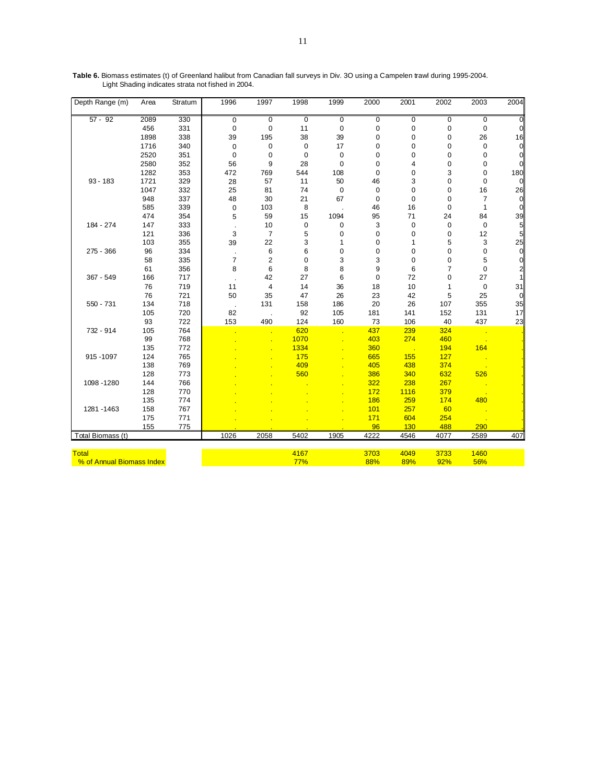| Depth Range (m)           | Area | Stratum | 1996           | 1997           | 1998        | 1999        | 2000        | 2001         | 2002 | 2003           | 2004            |
|---------------------------|------|---------|----------------|----------------|-------------|-------------|-------------|--------------|------|----------------|-----------------|
| $57 - 92$                 | 2089 | 330     | $\mathbf 0$    | $\mathbf 0$    | $\mathbf 0$ | 0           | $\mathbf 0$ | $\pmb{0}$    | 0    | $\overline{0}$ | $\Omega$        |
|                           | 456  | 331     | $\mathbf 0$    | $\mathbf 0$    | 11          | 0           | $\pmb{0}$   | 0            | 0    | 0              | $\overline{0}$  |
|                           | 1898 | 338     | 39             | 195            | 38          | 39          | 0           | 0            | 0    | 26             | 16              |
|                           | 1716 | 340     | $\mathbf 0$    | $\mathbf 0$    | $\mathbf 0$ | 17          | 0           | 0            | 0    | 0              | $\overline{0}$  |
|                           | 2520 | 351     | $\mathbf 0$    | $\mathbf 0$    | $\mathbf 0$ | $\mathbf 0$ | 0           | 0            | 0    | 0              | $\overline{0}$  |
|                           | 2580 | 352     | 56             | 9              | 28          | 0           | 0           | 4            | 0    | 0              | $\overline{0}$  |
|                           | 1282 | 353     | 472            | 769            | 544         | 108         | $\mathbf 0$ | 0            | 3    | 0              | 180             |
| $93 - 183$                | 1721 | 329     | 28             | 57             | 11          | 50          | 46          | 3            | 0    | 0              | $\mathbf 0$     |
|                           | 1047 | 332     | 25             | 81             | 74          | $\pmb{0}$   | $\pmb{0}$   | $\mathbf 0$  | 0    | 16             | 26              |
|                           | 948  | 337     | 48             | 30             | 21          | 67          | $\mathbf 0$ | $\pmb{0}$    | 0    | 7              | $\overline{0}$  |
|                           | 585  | 339     | $\mathbf 0$    | 103            | 8           |             | 46          | 16           | 0    | 1              | $\overline{0}$  |
|                           | 474  | 354     | 5              | 59             | 15          | 1094        | 95          | 71           | 24   | 84             | 39              |
| 184 - 274                 | 147  | 333     |                | 10             | $\pmb{0}$   | 0           | 3           | $\pmb{0}$    | 0    | $\pmb{0}$      | $\overline{5}$  |
|                           | 121  | 336     | 3              | $\overline{7}$ | 5           | 0           | $\mathbf 0$ | 0            | 0    | 12             | $5\overline{a}$ |
|                           | 103  | 355     | 39             | 22             | 3           | 1           | 0           | $\mathbf{1}$ | 5    | 3              | 25              |
| 275 - 366                 | 96   | 334     |                | 6              | 6           | 0           | 0           | 0            | 0    | 0              | $\overline{0}$  |
|                           | 58   | 335     | $\overline{7}$ | $\overline{2}$ | 0           | 3           | 3           | $\mathbf 0$  | 0    | 5              | $\overline{0}$  |
|                           | 61   | 356     | 8              | 6              | 8           | 8           | 9           | 6            | 7    | $\mathbf 0$    | $\overline{2}$  |
| 367 - 549                 | 166  | 717     |                | 42             | 27          | 6           | $\mathbf 0$ | 72           | 0    | 27             | $\mathbf{1}$    |
|                           | 76   | 719     | 11             | $\overline{4}$ | 14          | 36          | 18          | 10           | 1    | $\pmb{0}$      | 31              |
|                           | 76   | 721     | 50             | 35             | 47          | 26          | 23          | 42           | 5    | 25             | $\overline{0}$  |
| $550 - 731$               | 134  | 718     |                | 131            | 158         | 186         | 20          | 26           | 107  | 355            | 35              |
|                           | 105  | 720     | 82             |                | 92          | 105         | 181         | 141          | 152  | 131            | 17              |
|                           | 93   | 722     | 153            | 490            | 124         | 160         | 73          | 106          | 40   | 437            | 23              |
| 732 - 914                 | 105  | 764     |                |                | 620         |             | 437         | 239          | 324  | <u>та на т</u> |                 |
|                           | 99   | 768     |                |                | 1070        |             | 403         | 274          | 460  |                |                 |
|                           | 135  | 772     |                |                | 1334        |             | 360         |              | 194  | 164            |                 |
| 915 - 1097                | 124  | 765     |                |                | 175         |             | 665         | 155          | 127  |                |                 |
|                           | 138  | 769     |                |                | 409         |             | 405         | 438          | 374  |                |                 |
|                           | 128  | 773     |                |                | 560         |             | 386         | 340          | 632  | 526            |                 |
| 1098 - 1280               | 144  | 766     |                |                |             |             | 322         | 238          | 267  |                |                 |
|                           | 128  | 770     |                |                |             |             | 172         | 1116         | 379  |                |                 |
|                           | 135  | 774     |                |                |             |             | 186         | 259          | 174  | 480            |                 |
| 1281 - 1463               | 158  | 767     |                |                |             |             | 101         | 257          | 60   |                |                 |
|                           | 175  | 771     |                |                |             |             | 171         | 604          | 254  |                |                 |
|                           | 155  | 775     |                |                |             |             | 96          | 130          | 488  | 290            |                 |
| Total Biomass (t)         |      |         | 1026           | 2058           | 5402        | 1905        | 4222        | 4546         | 4077 | 2589           | 407             |
| <b>Total</b>              |      |         |                |                | 4167        |             | 3703        | 4049         | 3733 | 1460           |                 |
| % of Annual Biomass Index |      |         |                |                | 77%         |             | 88%         | 89%          | 92%  | 56%            |                 |

**Table 6.** Biomass estimates (t) of Greenland halibut from Canadian fall surveys in Div. 3O using a Campelen trawl during 1995-2004. Light Shading indicates strata not fished in 2004.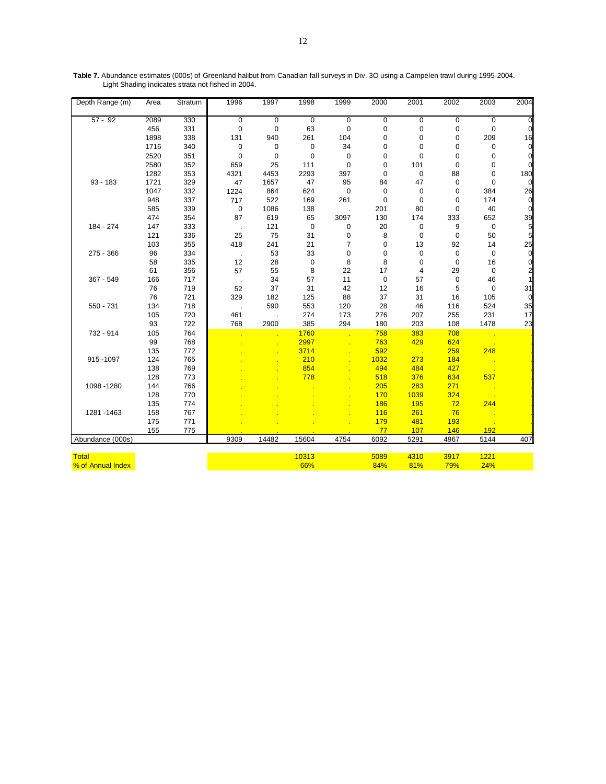| Depth Range (m)   | Area | Stratum | 1996        | 1997        | 1998        | 1999           | 2000        | 2001        | 2002        | 2003        | 2004           |
|-------------------|------|---------|-------------|-------------|-------------|----------------|-------------|-------------|-------------|-------------|----------------|
| $57 - 92$         | 2089 | 330     | $\mathbf 0$ | $\mathbf 0$ | $\mathbf 0$ | $\mathbf 0$    | $\mathbf 0$ | $\mathbf 0$ | $\mathbf 0$ | $\mathbf 0$ | $\overline{0}$ |
|                   | 456  | 331     | 0           | $\mathbf 0$ | 63          | $\mathbf 0$    | 0           | 0           | 0           | $\mathbf 0$ | $\mathbf 0$    |
|                   | 1898 | 338     | 131         | 940         | 261         | 104            | 0           | 0           | $\pmb{0}$   | 209         | 16             |
|                   | 1716 | 340     | $\mathbf 0$ | 0           | $\mathbf 0$ | 34             | 0           | 0           | $\mathbf 0$ | 0           | $\overline{0}$ |
|                   | 2520 | 351     | 0           | 0           | 0           | 0              | 0           | $\mathbf 0$ | 0           | 0           | $\overline{0}$ |
|                   | 2580 | 352     | 659         | 25          | 111         | $\mathbf 0$    | 0           | 101         | $\pmb{0}$   | 0           | $\mathbf 0$    |
|                   | 1282 | 353     | 4321        | 4453        | 2293        | 397            | $\mathbf 0$ | $\pmb{0}$   | 88          | 0           | 180            |
| $93 - 183$        | 1721 | 329     | 47          | 1657        | 47          | 95             | 84          | 47          | $\mathbf 0$ | $\mathbf 0$ | $\overline{0}$ |
|                   | 1047 | 332     | 1224        | 864         | 624         | $\pmb{0}$      | 0           | 0           | 0           | 384         | 26             |
|                   | 948  | 337     | 717         | 522         | 169         | 261            | $\mathbf 0$ | $\mathbf 0$ | $\mathbf 0$ | 174         | $\overline{0}$ |
|                   | 585  | 339     | $\mathbf 0$ | 1086        | 138         |                | 201         | 80          | $\mathbf 0$ | 40          | $\pmb{0}$      |
|                   | 474  | 354     | 87          | 619         | 65          | 3097           | 130         | 174         | 333         | 652         | $\frac{39}{5}$ |
| 184 - 274         | 147  | 333     | $\cdot$     | 121         | $\mathbf 0$ | 0              | 20          | 0           | 9           | $\pmb{0}$   |                |
|                   | 121  | 336     | 25          | 75          | 31          | 0              | 8           | $\mathbf 0$ | 0           | 50          | $\overline{5}$ |
|                   | 103  | 355     | 418         | 241         | 21          | $\overline{7}$ | 0           | 13          | 92          | 14          | 25             |
| 275 - 366         | 96   | 334     | $\cdot$     | 53          | 33          | 0              | 0           | 0           | 0           | $\mathbf 0$ | $\pmb{0}$      |
|                   | 58   | 335     | 12          | 28          | $\mathbf 0$ | 8              | 8           | 0           | 0           | 16          | $\mathbf{0}$   |
|                   | 61   | 356     | 57          | 55          | 8           | 22             | 17          | 4           | 29          | 0           | $\overline{a}$ |
| 367 - 549         | 166  | 717     | $\cdot$     | 34          | 57          | 11             | $\mathbf 0$ | 57          | $\pmb{0}$   | 46          | $\mathbf{1}$   |
|                   | 76   | 719     | 52          | 37          | 31          | 42             | 12          | 16          | 5           | $\pmb{0}$   | 31             |
|                   | 76   | 721     | 329         | 182         | 125         | 88             | 37          | 31          | 16          | 105         | $\mathbf 0$    |
| 550 - 731         | 134  | 718     | $\cdot$     | 590         | 553         | 120            | 28          | 46          | 116         | 524         | 35             |
|                   | 105  | 720     | 461         |             | 274         | 173            | 276         | 207         | 255         | 231         | 17             |
|                   | 93   | 722     | 768         | 2900        | 385         | 294            | 180         | 203         | 108         | 1478        | 23             |
| 732 - 914         | 105  | 764     |             |             | 1760        |                | 758         | 383         | 708         |             |                |
|                   | 99   | 768     |             |             | 2997        |                | 763         | 429         | 624         |             |                |
|                   | 135  | 772     |             |             | 3714        |                | 592         |             | 259         | 248         |                |
| 915-1097          | 124  | 765     |             |             | 210         |                | 1032        | 273         | 184         |             |                |
|                   | 138  | 769     |             |             | 854         |                | 494         | 484         | 427         |             |                |
|                   | 128  | 773     |             |             | 778         |                | 518         | 376         | 634         | 537         |                |
| 1098 - 1280       | 144  | 766     |             |             |             |                | 205         | 283         | 271         |             |                |
|                   | 128  | 770     |             |             |             |                | 170         | 1039        | 324         |             |                |
|                   | 135  | 774     |             |             |             |                | 186         | 195         | 72          | 244         |                |
| 1281 - 1463       | 158  | 767     |             |             |             |                | 116         | 261         | 76          |             |                |
|                   | 175  | 771     |             |             |             |                | 179         | 481         | 193         |             |                |
|                   | 155  | 775     |             |             |             |                | 77          | 107         | 146         | 192         |                |
| Abundance (000s)  |      |         | 9309        | 14482       | 15604       | 4754           | 6092        | 5291        | 4967        | 5144        | 407            |
| <b>Total</b>      |      |         |             |             | 10313       |                | 5089        | 4310        | 3917        | 1221        |                |
| % of Annual Index |      |         |             |             | 66%         |                | 84%         | 81%         | 79%         | 24%         |                |
|                   |      |         |             |             |             |                |             |             |             |             |                |

**Table 7.** Abundance estimates (000s) of Greenland halibut from Canadian fall surveys in Div. 3O using a Campelen trawl during 1995-2004. Light Shading indicates strata not fished in 2004.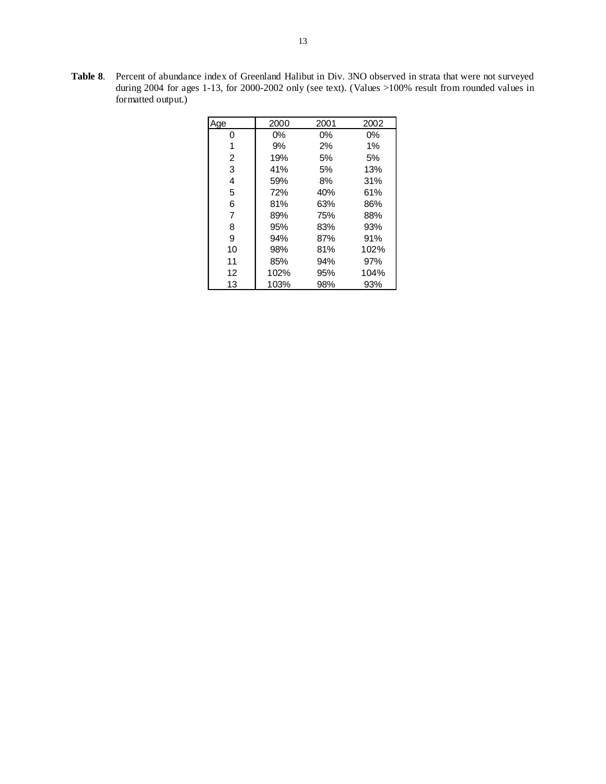**Table 8**. Percent of abundance index of Greenland Halibut in Div. 3NO observed in strata that were not surveyed during 2004 for ages 1-13, for 2000-2002 only (see text). (Values >100% result from rounded values in formatted output.)

| Age | 2000 | 2001 | 2002 |
|-----|------|------|------|
| 0   | 0%   | 0%   | 0%   |
| 1   | 9%   | 2%   | 1%   |
| 2   | 19%  | 5%   | 5%   |
| 3   | 41%  | 5%   | 13%  |
| 4   | 59%  | 8%   | 31%  |
| 5   | 72%  | 40%  | 61%  |
| 6   | 81%  | 63%  | 86%  |
| 7   | 89%  | 75%  | 88%  |
| 8   | 95%  | 83%  | 93%  |
| 9   | 94%  | 87%  | 91%  |
| 10  | 98%  | 81%  | 102% |
| 11  | 85%  | 94%  | 97%  |
| 12  | 102% | 95%  | 104% |
| 13  | 103% | 98%  | 93%  |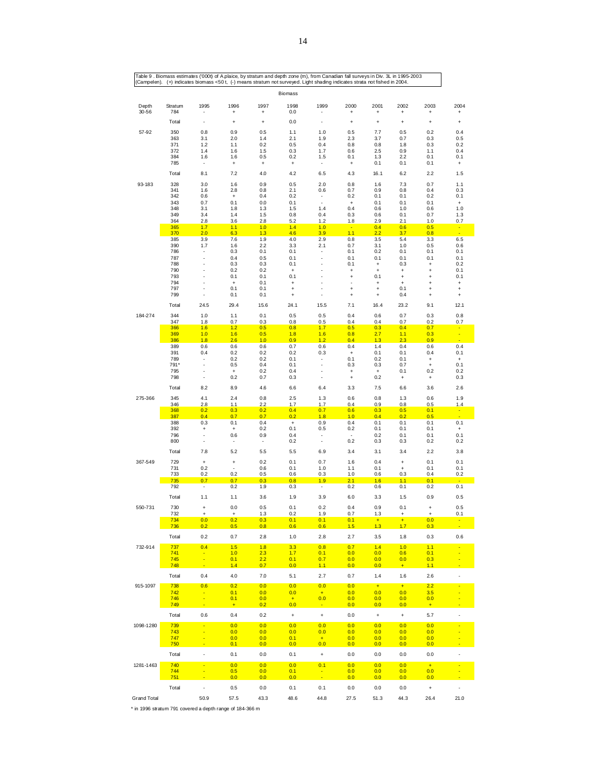|                                                          |                |                          |                  |                                 | Biomass                                 |                                 |                                  |                        |                                  |                                  |                                  |
|----------------------------------------------------------|----------------|--------------------------|------------------|---------------------------------|-----------------------------------------|---------------------------------|----------------------------------|------------------------|----------------------------------|----------------------------------|----------------------------------|
| Depth<br>$30 - 56$                                       | Stratum<br>784 | 1995                     | 1996<br>÷        | 1997<br>÷                       | 1998<br>0.0                             | 1999                            | 2000<br>$\ddot{}$                | 2001<br>÷              | 2002<br>$\ddot{}$                | 2003<br>$\ddot{}$                | 2004<br>$\ddot{}$                |
|                                                          | Total          | ٠                        | $\ddot{}$        | $\ddot{}$                       | 0.0                                     | $\overline{a}$                  | $\ddot{}$                        | $\ddot{}$              | $\ddot{}$                        | $\ddot{}$                        | $\ddot{}$                        |
| 57-92                                                    | 350            | 0.8                      | 0.9              | 0.5                             | 1.1                                     | 1.0                             | 0.5                              | 7.7                    | 0.5                              | 0.2                              | 0.4                              |
|                                                          | 363<br>371     | 3.1<br>1.2               | 2.0<br>1.1       | 1.4<br>0.2                      | 2.1<br>0.5                              | 1.9<br>0.4                      | 2.3<br>0.8                       | 3.7<br>0.8             | 0.7<br>1.8                       | 0.3<br>0.3                       | 0.5<br>0.2                       |
|                                                          | 372            | 1.4                      | 1.6              | 1.5                             | 0.3                                     | 1.7                             | 0.6                              | 2.5                    | 0.9                              | 1.1                              | 0.4                              |
|                                                          | 384<br>785     | 1.6<br>٠                 | 1.6<br>$\ddot{}$ | 0.5<br>$\ddot{}$                | 0.2<br>$\ddot{}$                        | 1.5<br>$\overline{\phantom{a}}$ | 0.1<br>$\ddot{}$                 | 1.3<br>0.1             | 2.2<br>0.1                       | 0.1<br>0.1                       | 0.1<br>$\ddot{}$                 |
|                                                          | Total          | 8.1                      | 7.2              | 4.0                             | 4.2                                     | 6.5                             | 4.3                              | 16.1                   | 6.2                              | 2.2                              | 1.5                              |
| 93-183                                                   | 328            | 3.0                      | 1.6              | 0.9                             | 0.5                                     | 2.0                             | 0.8                              | 1.6                    | 7.3                              | 0.7                              | 1.1                              |
|                                                          | 341<br>342     | 1.6<br>0.6               | 2.8<br>$\ddot{}$ | 0.8<br>0.4                      | 2.1<br>0.2                              | 0.6<br>$\overline{\phantom{a}}$ | 0.7<br>0.2                       | 0.9<br>0.1             | 0.8<br>0.1                       | 0.4<br>0.2                       | 0.3<br>0.1                       |
|                                                          | 343            | 0.7                      | 0.1              | 0.0                             | 0.1                                     | $\overline{\phantom{a}}$        | $\begin{array}{c} + \end{array}$ | 0.1                    | 0.1                              | 0.1                              | $\begin{array}{c} + \end{array}$ |
|                                                          | 348<br>349     | 3.1<br>3.4               | 1.8<br>1.4       | 1.3<br>1.5                      | 1.5<br>0.8                              | 1.4<br>0.4                      | 0.4<br>0.3                       | 0.6<br>0.6             | 1.0<br>0.1                       | 0.6<br>0.7                       | 1.0                              |
|                                                          | 364            | 2.8                      | 3.6              | 2.8                             | 5.2                                     | 1.2                             | 1.8                              | 2.9                    | 2.1                              | 1.0                              | 1.3<br>0.7                       |
|                                                          | 365<br>370     | 1.7<br>2.0               | 1.1<br>6.3       | 1.0<br>1.3                      | 1.4<br>4.6                              | 1.0<br>3.9                      | $\sim$<br>1.1                    | 0.4<br>2.2             | 0.6<br>3.7                       | 0.5<br>0.8                       | $\blacksquare$<br>÷              |
|                                                          | 385            | 3.9                      | 7.6              | 1.9                             | 4.0                                     | 2.9                             | 0.8                              | 3.5                    | 5.4                              | 3.3                              | 6.5                              |
|                                                          | 390<br>786     | 1.7                      | 1.6<br>0.3       | 2.2<br>0.1                      | 3.3<br>0.1                              | 2.1<br>٠                        | 0.7<br>0.1                       | 3.1<br>0.2             | 1.0<br>0.1                       | 0.5<br>0.1                       | 0.6<br>0.1                       |
|                                                          | 787            |                          | 0.4              | 0.5                             | 0.1                                     |                                 | 0.1                              | 0.1                    | 0.1                              | 0.1                              | 0.1                              |
|                                                          | 788<br>790     | J.                       | 0.3              | 0.3                             | 0.1                                     | Ĭ.<br>÷,                        | 0.1                              | $\ddot{}$              | 0.3                              | $\ddot{}$                        | 0.2                              |
|                                                          | 793            | J.                       | 0.2<br>0.1       | 0.2<br>0.1                      | $\ddot{}$<br>0.1                        | ÷,                              | $\ddot{}$<br>$\ddot{}$           | $\ddot{}$<br>0.1       | $\ddot{}$<br>$\ddot{}$           | $\ddot{}$<br>$\ddot{}$           | 0.1<br>0.1                       |
|                                                          | 794<br>797     |                          | $\ddot{}$<br>0.1 | 0.1<br>0.1                      | $\ddot{}$<br>$\ddot{}$                  | ÷<br>÷,                         | $\ddot{}$                        | $\ddot{}$<br>$\ddot{}$ | $\ddot{}$<br>0.1                 | $\ddot{}$<br>$\ddot{}$           | $\ddot{}$<br>$\ddot{}$           |
|                                                          | 799            |                          | 0.1              | 0.1                             | $\ddot{}$                               | $\overline{a}$                  | $\ddot{}$                        | $\ddot{}$              | 0.4                              | $\ddot{}$                        | $\ddot{}$                        |
|                                                          | Total          | 24.5                     | 29.4             | 15.6                            | 24.1                                    | 15.5                            | 7.1                              | 16.4                   | 23.2                             | 9.1                              | 12.1                             |
| 184-274                                                  | 344<br>347     | 1.0<br>1.8               | 1.1<br>0.7       | 0.1<br>0.3                      | 0.5<br>0.8                              | 0.5<br>0.5                      | 0.4<br>0.4                       | 0.6<br>0.4             | 0.7<br>0.7                       | 0.3<br>0.2                       | 0.8<br>0.7                       |
|                                                          | 366            | 1.6                      | 1.2              | 0.5                             | 0.8                                     | 1.7                             | 0.5                              | 0.3                    | 0.4                              | 0.7                              | $\blacksquare$                   |
|                                                          | 369<br>386     | 1.0<br>1.8               | 1.6<br>2.6       | 0.5<br>1.0                      | 1.8<br>0.9                              | 1.6<br>1.2                      | 0.8<br>0.4                       | 2.7<br>1.3             | 1.1<br>2.3                       | 0.3<br>0.9                       | $\blacksquare$<br>÷              |
|                                                          | 389<br>391     | 0.6<br>0.4               | 0.6<br>0.2       | 0.6<br>0.2                      | 0.7<br>0.2                              | 0.6<br>0.3                      | 0.4<br>$\ddot{}$                 | 1.4                    | 0.4<br>0.1                       | 0.6                              | 0.4                              |
|                                                          | 789            | ٠                        | 0.2              | 0.2                             | 0.1                                     | ÷                               | 0.1                              | 0.1<br>0.2             | 0.1                              | 0.4<br>$\ddot{}$                 | 0.1<br>$\ddot{}$                 |
|                                                          | 791*           | Ĩ.<br>Ĩ.                 | 0.5              | 0.4                             | 0.1<br>0.4                              |                                 | 0.3                              | 0.3                    | 0.7                              | $\ddot{}$<br>0.2                 | 0.1                              |
|                                                          | 795<br>798     | ÷                        | $\ddot{}$<br>0.2 | 0.2<br>0.7                      | 0.3                                     | $\overline{a}$                  | $\ddot{}$<br>$\ddot{}$           | $\ddot{}$<br>0.2       | 0.1<br>$\ddot{}$                 | $\ddot{}$                        | 0.2<br>0.3                       |
|                                                          | Total          | 8.2                      | 8.9              | 4.6                             | 6.6                                     | 6.4                             | 3.3                              | 7.5                    | 6.6                              | 3.6                              | 2.6                              |
| 275-366                                                  | 345<br>346     | 4.1<br>2.8               | 2.4              | 0.8<br>2.2                      | 2.5<br>1.7                              | 1.3<br>1.7                      | 0.6                              | 0.8<br>0.9             | 1.3<br>0.8                       | 0.6                              | 1.9                              |
|                                                          | 368            | 0.2                      | 1.1<br>0.3       | 0.2                             | 0.4                                     | 0.7                             | 0.4<br>0.6                       | 0.3                    | 0.5                              | 0.5<br>0.1                       | 1.4<br>$\blacksquare$            |
|                                                          | 387<br>388     | 0.4<br>0.3               | 0.7<br>0.1       | 0.7<br>0.4                      | 0.2<br>$\begin{array}{c} + \end{array}$ | 1.8<br>0.9                      | 1.0<br>0.4                       | 0.4<br>0.1             | 0.2<br>0.1                       | 0.5<br>0.1                       | 0.1                              |
|                                                          | 392            | $\ddot{}$                | $\ddot{}$        | 0.2                             | 0.1                                     | 0.5                             | 0.2                              | 0.1                    | 0.1                              | 0.1                              | $\ddot{}$                        |
|                                                          | 796<br>800     | ÷<br>÷                   | 0.6<br>٠         | 0.9<br>$\overline{\phantom{a}}$ | 0.4<br>0.2                              | ٠<br>÷                          | $\sim$<br>0.2                    | 0.2<br>0.3             | 0.1<br>0.3                       | 0.1<br>0.2                       | 0.1<br>0.2                       |
|                                                          | Total          | 7.8                      | 5.2              | 5.5                             | 5.5                                     | 6.9                             | 3.4                              | 3.1                    | 3.4                              | 2.2                              | 3.8                              |
| 367-549                                                  | 729            | $\ddot{}$                | $\ddot{}$        | 0.2                             | 0.1                                     | 0.7                             | 1.6                              | 0.4                    | $\ddot{}$                        | 0.1                              | 0.1                              |
|                                                          | 731            | 0.2                      |                  | 0.6                             | 0.1                                     | 1.0                             | 1.1                              | 0.1                    | $\begin{array}{c} + \end{array}$ | 0.1                              | 0.1                              |
|                                                          | 733<br>735     | 0.2<br>0.7               | 0.2<br>0.7       | 0.5<br>0.3                      | 0.6<br>0.8                              | 0.3<br>1.9                      | 1.0<br>2.1                       | 0.6<br>1.6             | 0.3<br>1.1                       | 0.4<br>0.1                       | 0.2                              |
|                                                          | 792            | ÷                        | 0.2              | 1.9                             | 0.3                                     | $\overline{\phantom{a}}$        | 0.2                              | 0.6                    | 0.1                              | 0.2                              | 0.1                              |
|                                                          | Total          | 1.1                      | 1.1              | 3.6                             | 1.9                                     | 3.9                             | 6.0                              | 3.3                    | 1.5                              | 0.9                              | 0.5                              |
| 550-731                                                  | 730            | $\ddot{}$                | 0.0              | 0.5                             | 0.1                                     | 0.2                             | 0.4                              | 0.9                    | 0.1                              | $\ddot{}$                        | 0.5                              |
|                                                          | 732<br>734     | $\ddot{}$<br>0.0         | $\ddot{}$<br>0.2 | 1.3<br>0.3                      | 0.2<br>0.1                              | 1.9<br>0.1                      | 0.7<br>0.1                       | 1.3<br>$\pm$           | $\ddot{}$<br>$\ddot{}$           | $\ddot{}$<br>0.0                 | 0.1<br>$\blacksquare$            |
|                                                          | 736            | 0.2                      | 0.5              | 0.8                             | 0.6                                     | 0.6                             | 1.5                              | 1.3                    | 1.7                              | 0.3                              |                                  |
|                                                          | Total          | 0.2                      | 0.7              | 2.8                             | 1.0                                     | 2.8                             | 2.7                              | 3.5                    | 1.8                              | 0.3                              | 0.6                              |
| 732-914                                                  | 737<br>741     | 0.4                      | 1.5<br>1.0       | 1.8<br>2.3                      | 3.3<br>1.7                              | 0.8<br>0.1                      | 0.7<br>0.0                       | 1.4<br>0.0             | 1.0<br>0.6                       | 1.1<br>0.1                       |                                  |
|                                                          | 745<br>748     |                          | 0.1<br>1.4       | 2.2<br>0.7                      | 0.1<br>0.0                              | 0.7<br>1.1                      | 0.0<br>0.0                       | 0.0<br>0.0             | 0.0<br>$\pm$                     | 0.3<br>1.1                       |                                  |
|                                                          | Total          | 0.4                      | 4.0              | 7.0                             | 5.1                                     | 2.7                             | 0.7                              | 1.4                    | 1.6                              | 2.6                              | l,                               |
| 915-1097                                                 | 738            | 0.6                      | 0.2              | 0.0                             | 0.0                                     | 0.0                             | 0.0                              | $+$                    | $+$                              | 2.2                              |                                  |
|                                                          | 742<br>746     |                          | 0.1<br>0.1       | 0.0<br>0.0                      | 0.0                                     | $+$<br>0.0                      | 0.0<br>0.0                       | 0.0                    | 0.0<br>0.0                       | 3.5                              |                                  |
|                                                          | 749            |                          | ÷                | 0.2                             | $\ddot{}$<br>0.0                        |                                 | 0.0                              | 0.0<br>0.0             | 0.0                              | 0.0<br>$\ddot{}$                 |                                  |
|                                                          | Total          | 0.6                      | 0.4              | 0.2                             | $\begin{array}{c} + \end{array}$        | $\pmb{+}$                       | 0.0                              | $\ddot{}$              | $\ddot{}$                        | 5.7                              |                                  |
| 1098-1280                                                | 739<br>743     |                          | 0.0<br>0.0       | 0.0<br>0.0                      | 0.0<br>0.0                              | 0.0<br>0.0                      | 0.0<br>0.0                       | 0.0<br>0.0             | 0.0<br>0.0                       | 0.0<br>0.0                       |                                  |
|                                                          | 747            |                          | 0.0              | 0.0                             | 0.1                                     | $+$                             | 0.0                              | 0.0                    | 0.0                              | 0.0                              |                                  |
|                                                          | 750<br>Total   | L,                       | 0.1<br>0.1       | 0.0<br>0.0                      | 0.0<br>0.1                              | 0.0<br>$\ddag$                  | 0.0<br>0.0                       | 0.0<br>0.0             | 0.0<br>0.0                       | 0.0<br>0.0                       |                                  |
| 1281-1463                                                | 740            |                          | 0.0              | 0.0                             | 0.0                                     | 0.1                             | 0.0                              | 0.0                    | 0.0                              | $\pm$                            |                                  |
|                                                          | 744<br>751     |                          | 0.5<br>0.0       | 0.0<br>0.0                      | 0.1<br>0.0                              | ٠                               | 0.0<br>0.0                       | 0.0<br>0.0             | 0.0<br>0.0                       | 0.0<br>0.0                       |                                  |
|                                                          | Total          | $\overline{\phantom{a}}$ | 0.5              | 0.0                             | 0.1                                     | 0.1                             | 0.0                              | 0.0                    | 0.0                              | $\begin{array}{c} + \end{array}$ |                                  |
| <b>Grand Total</b>                                       |                | 50.9                     | 57.5             | 43.3                            | 48.6                                    | 44.8                            | 27.5                             | 51.3                   | 44.3                             | 26.4                             | 21.0                             |
| * in 1996 stratum 791 covered a depth range of 184-366 m |                |                          |                  |                                 |                                         |                                 |                                  |                        |                                  |                                  |                                  |

14

Table 9 . Biomass estimates ('000t) of A.plaice, by stratum and depth zone (m), from Canadian fall surveys in Div. 3L in 1995-2003<br>(Campelen). (+) indicates biomass <50 t, (-) means stratum not surveyed. Light shading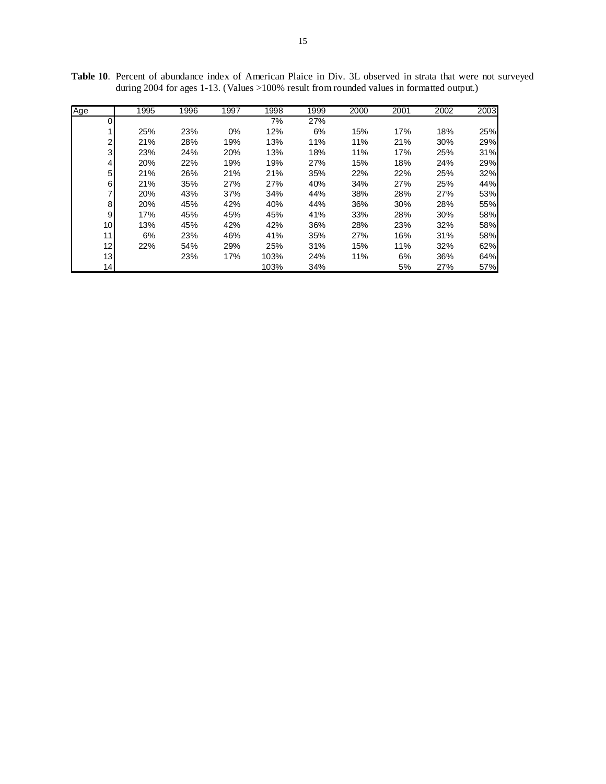| Age            | 1995 | 1996 | 1997 | 1998 | 1999 | 2000 | 2001 | 2002 | 2003 |
|----------------|------|------|------|------|------|------|------|------|------|
| 0              |      |      |      | 7%   | 27%  |      |      |      |      |
| 1              | 25%  | 23%  | 0%   | 12%  | 6%   | 15%  | 17%  | 18%  | 25%  |
| $\overline{2}$ | 21%  | 28%  | 19%  | 13%  | 11%  | 11%  | 21%  | 30%  | 29%  |
| 3              | 23%  | 24%  | 20%  | 13%  | 18%  | 11%  | 17%  | 25%  | 31%  |
| 4              | 20%  | 22%  | 19%  | 19%  | 27%  | 15%  | 18%  | 24%  | 29%  |
| 5              | 21%  | 26%  | 21%  | 21%  | 35%  | 22%  | 22%  | 25%  | 32%  |
| 6              | 21%  | 35%  | 27%  | 27%  | 40%  | 34%  | 27%  | 25%  | 44%  |
| 7              | 20%  | 43%  | 37%  | 34%  | 44%  | 38%  | 28%  | 27%  | 53%  |
| 8              | 20%  | 45%  | 42%  | 40%  | 44%  | 36%  | 30%  | 28%  | 55%  |
| 9              | 17%  | 45%  | 45%  | 45%  | 41%  | 33%  | 28%  | 30%  | 58%  |
| 10             | 13%  | 45%  | 42%  | 42%  | 36%  | 28%  | 23%  | 32%  | 58%  |
| 11             | 6%   | 23%  | 46%  | 41%  | 35%  | 27%  | 16%  | 31%  | 58%  |
| 12             | 22%  | 54%  | 29%  | 25%  | 31%  | 15%  | 11%  | 32%  | 62%  |
| 13             |      | 23%  | 17%  | 103% | 24%  | 11%  | 6%   | 36%  | 64%  |
| 14             |      |      |      | 103% | 34%  |      | 5%   | 27%  | 57%  |

**Table 10**. Percent of abundance index of American Plaice in Div. 3L observed in strata that were not surveyed during 2004 for ages 1-13. (Values >100% result from rounded values in formatted output.)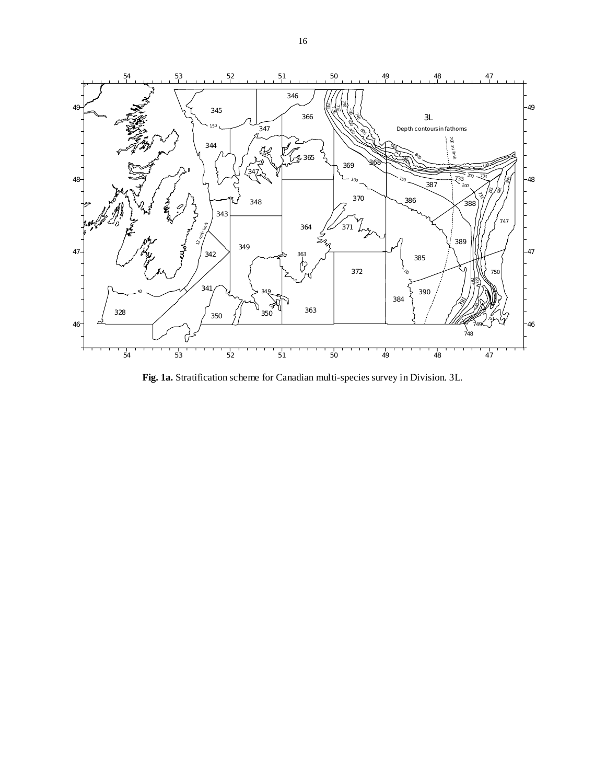

**Fig. 1a.** Stratification scheme for Canadian multi-species survey in Division. 3L.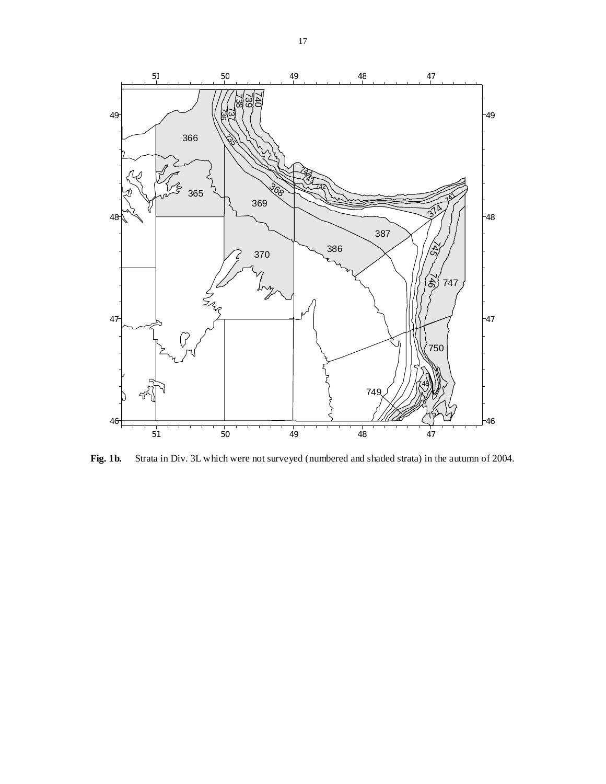

**Fig. 1b.** Strata in Div. 3L which were not surveyed (numbered and shaded strata) in the autumn of 2004.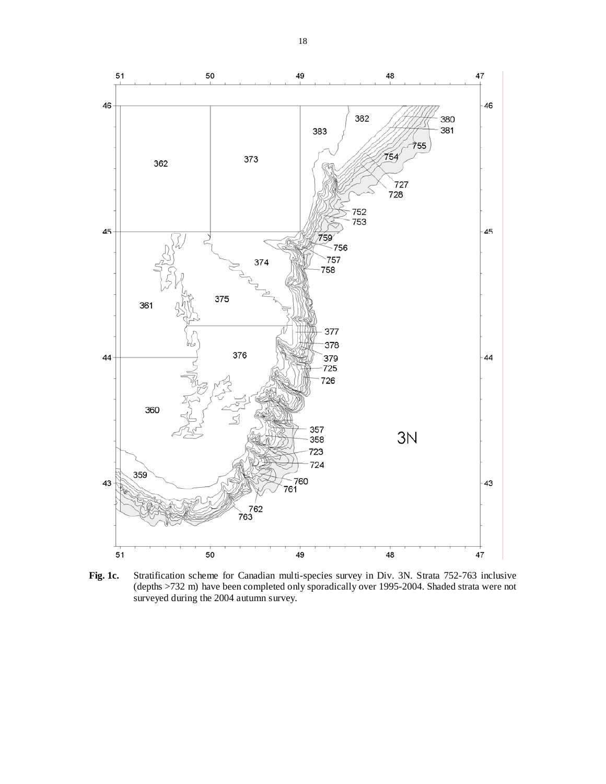

**Fig. 1c.** Stratification scheme for Canadian multi-species survey in Div. 3N. Strata 752-763 inclusive (depths >732 m) have been completed only sporadically over 1995-2004. Shaded strata were not surveyed during the 2004 autumn survey.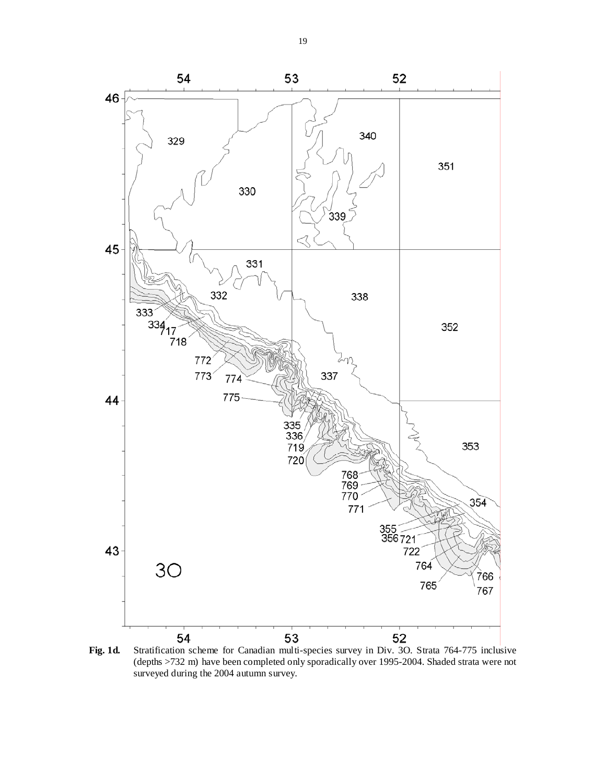

**Fig. 1d.** Stratification scheme for Canadian multi-species survey in Div. 3O. Strata 764-775 inclusive (depths >732 m) have been completed only sporadically over 1995-2004. Shaded strata were not surveyed during the 2004 autumn survey.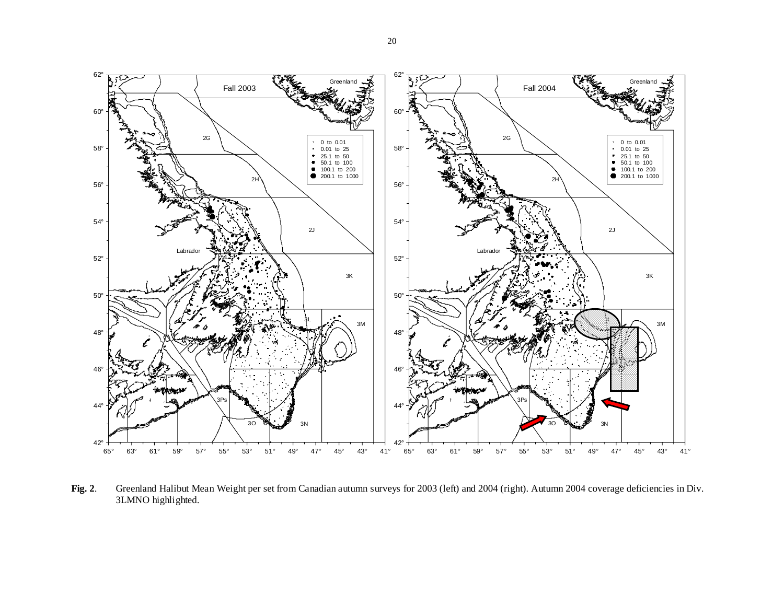

**Fig. 2**. Greenland Halibut Mean Weight per set from Canadian autumn surveys for 2003 (left) and 2004 (right). Autumn 2004 coverage deficiencies in Div. 3LMNO highlighted.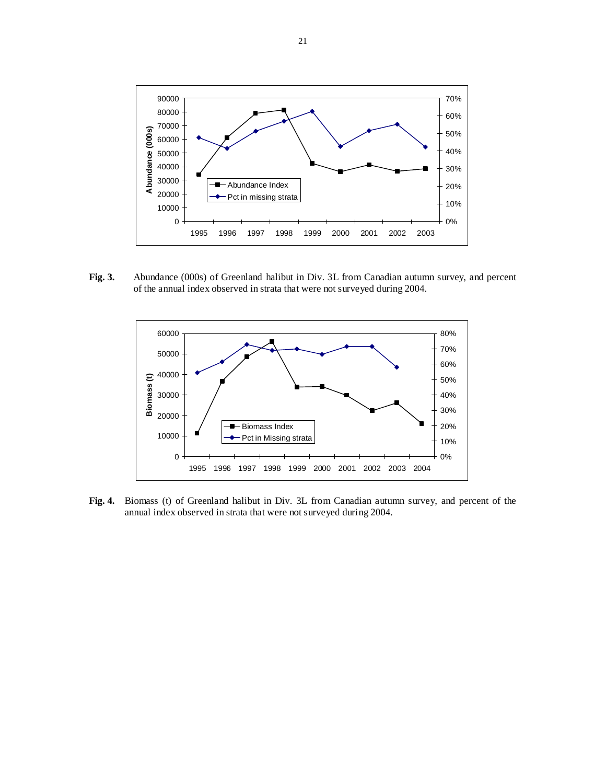

**Fig. 3.** Abundance (000s) of Greenland halibut in Div. 3L from Canadian autumn survey, and percent of the annual index observed in strata that were not surveyed during 2004.



**Fig. 4.** Biomass (t) of Greenland halibut in Div. 3L from Canadian autumn survey, and percent of the annual index observed in strata that were not surveyed during 2004.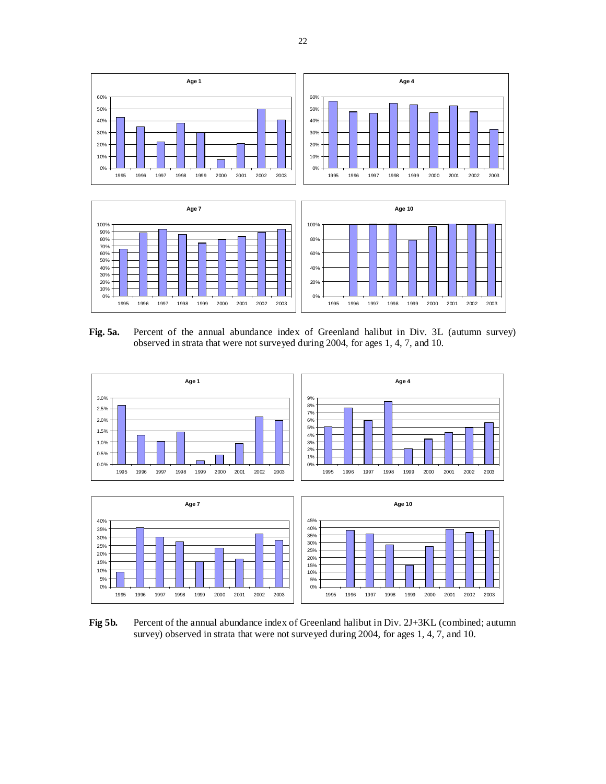

**Fig. 5a.** Percent of the annual abundance index of Greenland halibut in Div. 3L (autumn survey) observed in strata that were not surveyed during 2004, for ages 1, 4, 7, and 10.



Fig 5b. Percent of the annual abundance index of Greenland halibut in Div. 2J+3KL (combined; autumn survey) observed in strata that were not surveyed during 2004, for ages 1, 4, 7, and 10.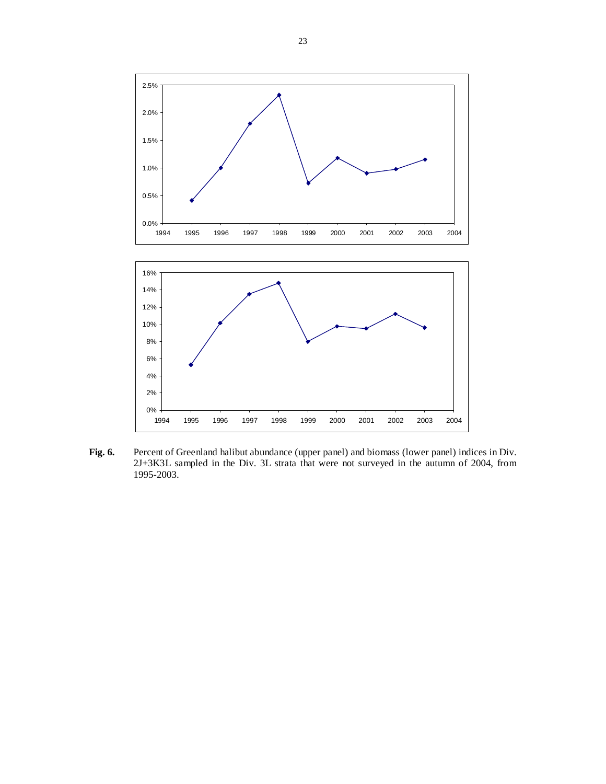

Fig. 6. Percent of Greenland halibut abundance (upper panel) and biomass (lower panel) indices in Div. 2J+3K3L sampled in the Div. 3L strata that were not surveyed in the autumn of 2004, from 1995-2003.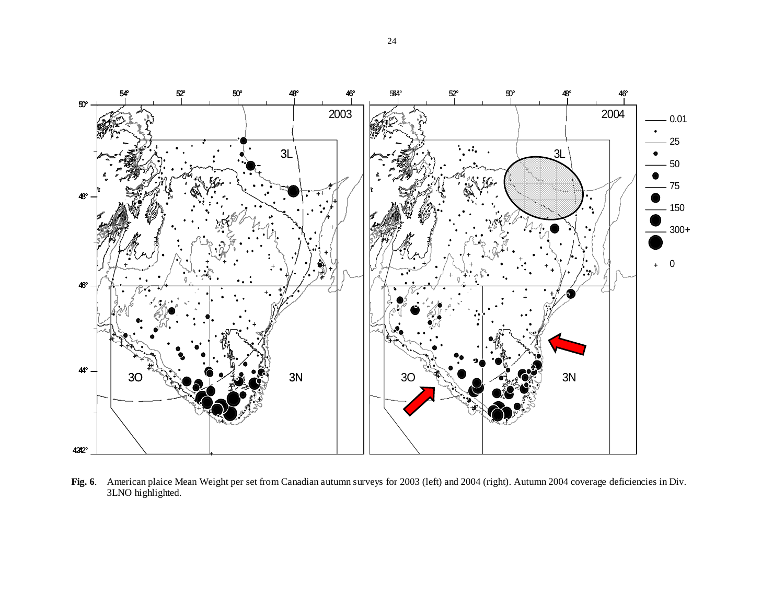

**Fig. 6**. American plaice Mean Weight per set from Canadian autumn surveys for 2003 (left) and 2004 (right). Autumn 2004 coverage deficiencies in Div. 3LNO highlighted.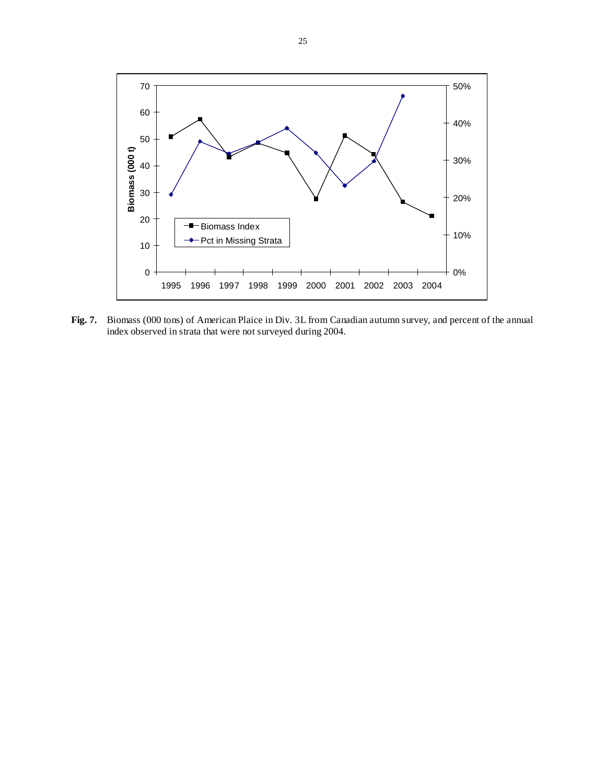

**Fig. 7.** Biomass (000 tons) of American Plaice in Div. 3L from Canadian autumn survey, and percent of the annual index observed in strata that were not surveyed during 2004.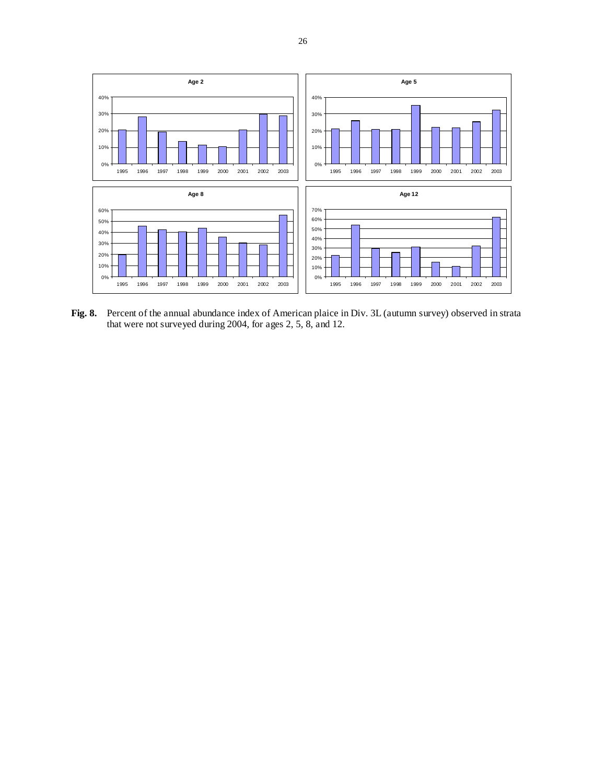

**Fig. 8.** Percent of the annual abundance index of American plaice in Div. 3L (autumn survey) observed in strata that were not surveyed during 2004, for ages 2, 5, 8, and 12.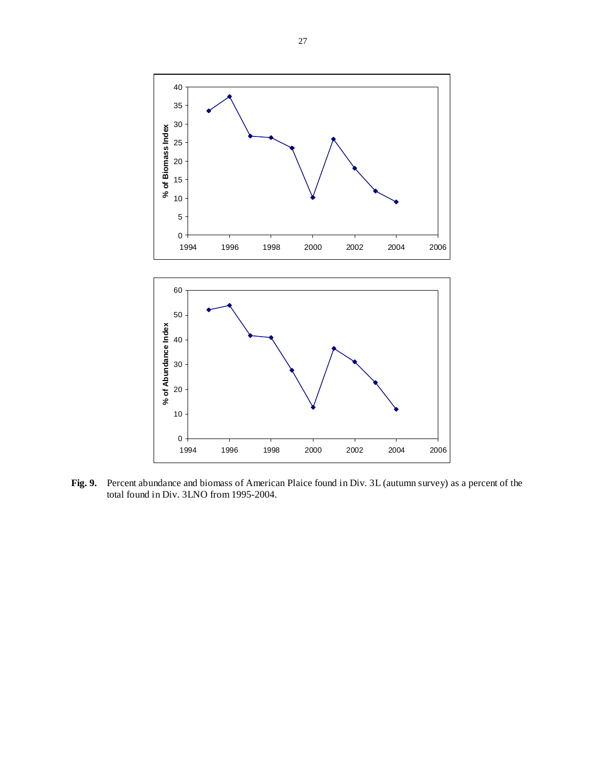

**Fig. 9.** Percent abundance and biomass of American Plaice found in Div. 3L (autumn survey) as a percent of the total found in Div. 3LNO from 1995-2004.

1994 1996 1998 2000 2002 2004 2006